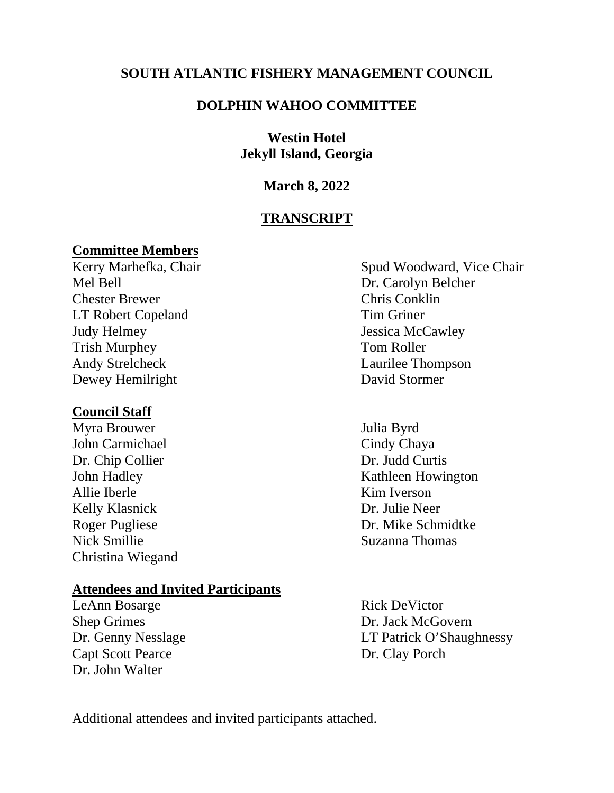## **SOUTH ATLANTIC FISHERY MANAGEMENT COUNCIL**

## **DOLPHIN WAHOO COMMITTEE**

## **Westin Hotel Jekyll Island, Georgia**

## **March 8, 2022**

## **TRANSCRIPT**

**Committee Members** Mel Bell Dr. Carolyn Belcher Chester Brewer Chris Conklin LT Robert Copeland Tim Griner Judy Helmey Jessica McCawley Trish Murphey Tom Roller<br>Andy Strelcheck Laurilee Theory Dewey Hemilright David Stormer

## **Council Staff**

Myra Brouwer Julia Byrd John Carmichael Cindy Chaya Dr. Chip Collier Dr. Judd Curtis Allie Iberle Kim Iverson Kelly Klasnick Dr. Julie Neer Nick Smillie Suzanna Thomas Christina Wiegand

## **Attendees and Invited Participants**

LeAnn Bosarge Rick DeVictor Shep Grimes Dr. Jack McGovern Capt Scott Pearce Dr. Clay Porch Dr. John Walter

Spud Woodward, Vice Chair Laurilee Thompson

John Hadley Kathleen Howington Roger Pugliese Dr. Mike Schmidtke

Dr. Genny Nesslage LT Patrick O'Shaughnessy

Additional attendees and invited participants attached.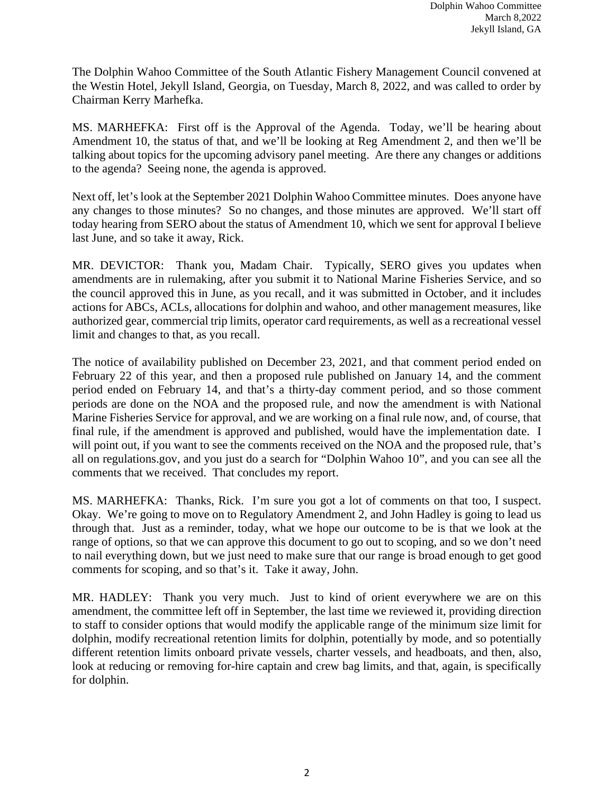The Dolphin Wahoo Committee of the South Atlantic Fishery Management Council convened at the Westin Hotel, Jekyll Island, Georgia, on Tuesday, March 8, 2022, and was called to order by Chairman Kerry Marhefka.

MS. MARHEFKA: First off is the Approval of the Agenda. Today, we'll be hearing about Amendment 10, the status of that, and we'll be looking at Reg Amendment 2, and then we'll be talking about topics for the upcoming advisory panel meeting. Are there any changes or additions to the agenda? Seeing none, the agenda is approved.

Next off, let's look at the September 2021 Dolphin Wahoo Committee minutes. Does anyone have any changes to those minutes? So no changes, and those minutes are approved. We'll start off today hearing from SERO about the status of Amendment 10, which we sent for approval I believe last June, and so take it away, Rick.

MR. DEVICTOR: Thank you, Madam Chair. Typically, SERO gives you updates when amendments are in rulemaking, after you submit it to National Marine Fisheries Service, and so the council approved this in June, as you recall, and it was submitted in October, and it includes actions for ABCs, ACLs, allocations for dolphin and wahoo, and other management measures, like authorized gear, commercial trip limits, operator card requirements, as well as a recreational vessel limit and changes to that, as you recall.

The notice of availability published on December 23, 2021, and that comment period ended on February 22 of this year, and then a proposed rule published on January 14, and the comment period ended on February 14, and that's a thirty-day comment period, and so those comment periods are done on the NOA and the proposed rule, and now the amendment is with National Marine Fisheries Service for approval, and we are working on a final rule now, and, of course, that final rule, if the amendment is approved and published, would have the implementation date. I will point out, if you want to see the comments received on the NOA and the proposed rule, that's all on regulations.gov, and you just do a search for "Dolphin Wahoo 10", and you can see all the comments that we received. That concludes my report.

MS. MARHEFKA: Thanks, Rick. I'm sure you got a lot of comments on that too, I suspect. Okay. We're going to move on to Regulatory Amendment 2, and John Hadley is going to lead us through that. Just as a reminder, today, what we hope our outcome to be is that we look at the range of options, so that we can approve this document to go out to scoping, and so we don't need to nail everything down, but we just need to make sure that our range is broad enough to get good comments for scoping, and so that's it. Take it away, John.

MR. HADLEY: Thank you very much. Just to kind of orient everywhere we are on this amendment, the committee left off in September, the last time we reviewed it, providing direction to staff to consider options that would modify the applicable range of the minimum size limit for dolphin, modify recreational retention limits for dolphin, potentially by mode, and so potentially different retention limits onboard private vessels, charter vessels, and headboats, and then, also, look at reducing or removing for-hire captain and crew bag limits, and that, again, is specifically for dolphin.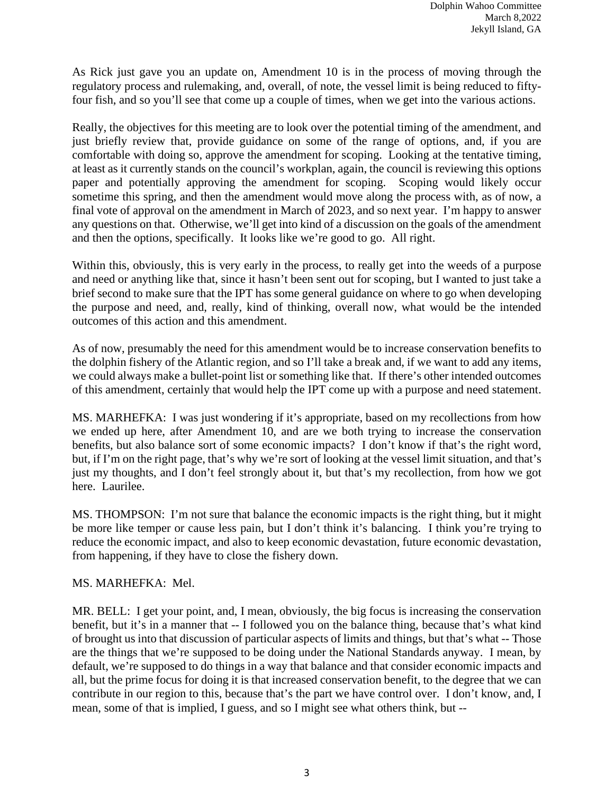As Rick just gave you an update on, Amendment 10 is in the process of moving through the regulatory process and rulemaking, and, overall, of note, the vessel limit is being reduced to fiftyfour fish, and so you'll see that come up a couple of times, when we get into the various actions.

Really, the objectives for this meeting are to look over the potential timing of the amendment, and just briefly review that, provide guidance on some of the range of options, and, if you are comfortable with doing so, approve the amendment for scoping. Looking at the tentative timing, at least as it currently stands on the council's workplan, again, the council is reviewing this options paper and potentially approving the amendment for scoping. Scoping would likely occur sometime this spring, and then the amendment would move along the process with, as of now, a final vote of approval on the amendment in March of 2023, and so next year. I'm happy to answer any questions on that. Otherwise, we'll get into kind of a discussion on the goals of the amendment and then the options, specifically. It looks like we're good to go. All right.

Within this, obviously, this is very early in the process, to really get into the weeds of a purpose and need or anything like that, since it hasn't been sent out for scoping, but I wanted to just take a brief second to make sure that the IPT has some general guidance on where to go when developing the purpose and need, and, really, kind of thinking, overall now, what would be the intended outcomes of this action and this amendment.

As of now, presumably the need for this amendment would be to increase conservation benefits to the dolphin fishery of the Atlantic region, and so I'll take a break and, if we want to add any items, we could always make a bullet-point list or something like that. If there's other intended outcomes of this amendment, certainly that would help the IPT come up with a purpose and need statement.

MS. MARHEFKA: I was just wondering if it's appropriate, based on my recollections from how we ended up here, after Amendment 10, and are we both trying to increase the conservation benefits, but also balance sort of some economic impacts? I don't know if that's the right word, but, if I'm on the right page, that's why we're sort of looking at the vessel limit situation, and that's just my thoughts, and I don't feel strongly about it, but that's my recollection, from how we got here. Laurilee.

MS. THOMPSON: I'm not sure that balance the economic impacts is the right thing, but it might be more like temper or cause less pain, but I don't think it's balancing. I think you're trying to reduce the economic impact, and also to keep economic devastation, future economic devastation, from happening, if they have to close the fishery down.

MS. MARHEFKA: Mel.

MR. BELL: I get your point, and, I mean, obviously, the big focus is increasing the conservation benefit, but it's in a manner that -- I followed you on the balance thing, because that's what kind of brought us into that discussion of particular aspects of limits and things, but that's what -- Those are the things that we're supposed to be doing under the National Standards anyway. I mean, by default, we're supposed to do things in a way that balance and that consider economic impacts and all, but the prime focus for doing it is that increased conservation benefit, to the degree that we can contribute in our region to this, because that's the part we have control over. I don't know, and, I mean, some of that is implied, I guess, and so I might see what others think, but --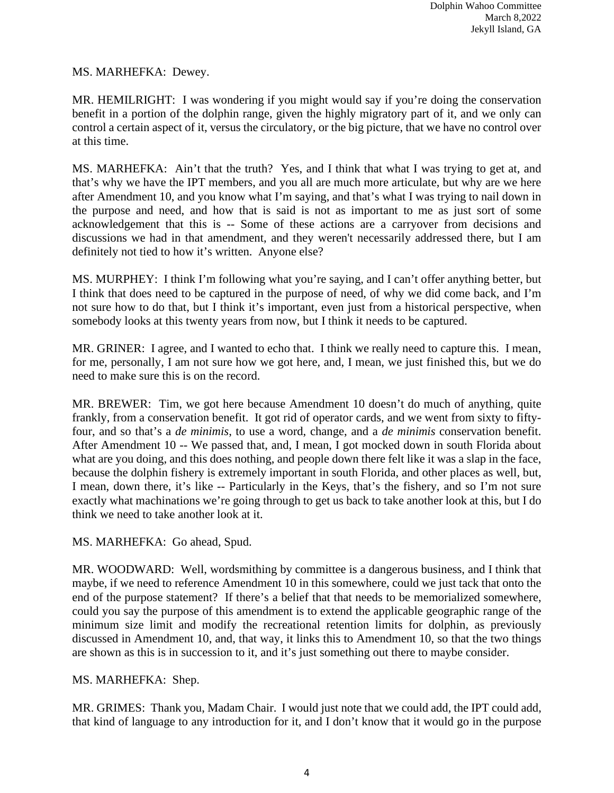## MS. MARHEFKA: Dewey.

MR. HEMILRIGHT: I was wondering if you might would say if you're doing the conservation benefit in a portion of the dolphin range, given the highly migratory part of it, and we only can control a certain aspect of it, versus the circulatory, or the big picture, that we have no control over at this time.

MS. MARHEFKA: Ain't that the truth? Yes, and I think that what I was trying to get at, and that's why we have the IPT members, and you all are much more articulate, but why are we here after Amendment 10, and you know what I'm saying, and that's what I was trying to nail down in the purpose and need, and how that is said is not as important to me as just sort of some acknowledgement that this is -- Some of these actions are a carryover from decisions and discussions we had in that amendment, and they weren't necessarily addressed there, but I am definitely not tied to how it's written. Anyone else?

MS. MURPHEY: I think I'm following what you're saying, and I can't offer anything better, but I think that does need to be captured in the purpose of need, of why we did come back, and I'm not sure how to do that, but I think it's important, even just from a historical perspective, when somebody looks at this twenty years from now, but I think it needs to be captured.

MR. GRINER: I agree, and I wanted to echo that. I think we really need to capture this. I mean, for me, personally, I am not sure how we got here, and, I mean, we just finished this, but we do need to make sure this is on the record.

MR. BREWER: Tim, we got here because Amendment 10 doesn't do much of anything, quite frankly, from a conservation benefit. It got rid of operator cards, and we went from sixty to fiftyfour, and so that's a *de minimis*, to use a word, change, and a *de minimis* conservation benefit. After Amendment 10 -- We passed that, and, I mean, I got mocked down in south Florida about what are you doing, and this does nothing, and people down there felt like it was a slap in the face, because the dolphin fishery is extremely important in south Florida, and other places as well, but, I mean, down there, it's like -- Particularly in the Keys, that's the fishery, and so I'm not sure exactly what machinations we're going through to get us back to take another look at this, but I do think we need to take another look at it.

MS. MARHEFKA: Go ahead, Spud.

MR. WOODWARD: Well, wordsmithing by committee is a dangerous business, and I think that maybe, if we need to reference Amendment 10 in this somewhere, could we just tack that onto the end of the purpose statement? If there's a belief that that needs to be memorialized somewhere, could you say the purpose of this amendment is to extend the applicable geographic range of the minimum size limit and modify the recreational retention limits for dolphin, as previously discussed in Amendment 10, and, that way, it links this to Amendment 10, so that the two things are shown as this is in succession to it, and it's just something out there to maybe consider.

## MS. MARHEFKA: Shep.

MR. GRIMES: Thank you, Madam Chair. I would just note that we could add, the IPT could add, that kind of language to any introduction for it, and I don't know that it would go in the purpose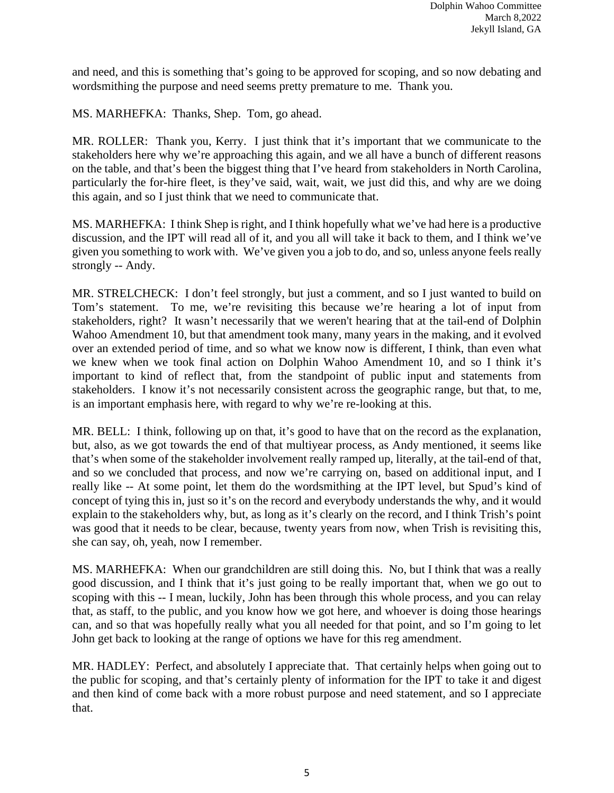and need, and this is something that's going to be approved for scoping, and so now debating and wordsmithing the purpose and need seems pretty premature to me. Thank you.

MS. MARHEFKA: Thanks, Shep. Tom, go ahead.

MR. ROLLER: Thank you, Kerry. I just think that it's important that we communicate to the stakeholders here why we're approaching this again, and we all have a bunch of different reasons on the table, and that's been the biggest thing that I've heard from stakeholders in North Carolina, particularly the for-hire fleet, is they've said, wait, wait, we just did this, and why are we doing this again, and so I just think that we need to communicate that.

MS. MARHEFKA: I think Shep is right, and I think hopefully what we've had here is a productive discussion, and the IPT will read all of it, and you all will take it back to them, and I think we've given you something to work with. We've given you a job to do, and so, unless anyone feels really strongly -- Andy.

MR. STRELCHECK: I don't feel strongly, but just a comment, and so I just wanted to build on Tom's statement. To me, we're revisiting this because we're hearing a lot of input from stakeholders, right? It wasn't necessarily that we weren't hearing that at the tail-end of Dolphin Wahoo Amendment 10, but that amendment took many, many years in the making, and it evolved over an extended period of time, and so what we know now is different, I think, than even what we knew when we took final action on Dolphin Wahoo Amendment 10, and so I think it's important to kind of reflect that, from the standpoint of public input and statements from stakeholders. I know it's not necessarily consistent across the geographic range, but that, to me, is an important emphasis here, with regard to why we're re-looking at this.

MR. BELL: I think, following up on that, it's good to have that on the record as the explanation, but, also, as we got towards the end of that multiyear process, as Andy mentioned, it seems like that's when some of the stakeholder involvement really ramped up, literally, at the tail-end of that, and so we concluded that process, and now we're carrying on, based on additional input, and I really like -- At some point, let them do the wordsmithing at the IPT level, but Spud's kind of concept of tying this in, just so it's on the record and everybody understands the why, and it would explain to the stakeholders why, but, as long as it's clearly on the record, and I think Trish's point was good that it needs to be clear, because, twenty years from now, when Trish is revisiting this, she can say, oh, yeah, now I remember.

MS. MARHEFKA: When our grandchildren are still doing this. No, but I think that was a really good discussion, and I think that it's just going to be really important that, when we go out to scoping with this -- I mean, luckily, John has been through this whole process, and you can relay that, as staff, to the public, and you know how we got here, and whoever is doing those hearings can, and so that was hopefully really what you all needed for that point, and so I'm going to let John get back to looking at the range of options we have for this reg amendment.

MR. HADLEY: Perfect, and absolutely I appreciate that. That certainly helps when going out to the public for scoping, and that's certainly plenty of information for the IPT to take it and digest and then kind of come back with a more robust purpose and need statement, and so I appreciate that.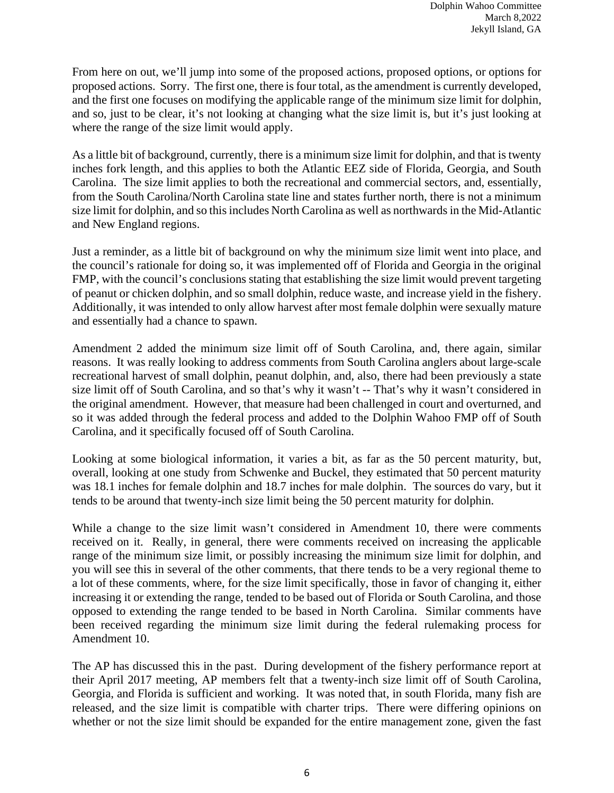From here on out, we'll jump into some of the proposed actions, proposed options, or options for proposed actions. Sorry. The first one, there is four total, as the amendment is currently developed, and the first one focuses on modifying the applicable range of the minimum size limit for dolphin, and so, just to be clear, it's not looking at changing what the size limit is, but it's just looking at where the range of the size limit would apply.

As a little bit of background, currently, there is a minimum size limit for dolphin, and that is twenty inches fork length, and this applies to both the Atlantic EEZ side of Florida, Georgia, and South Carolina. The size limit applies to both the recreational and commercial sectors, and, essentially, from the South Carolina/North Carolina state line and states further north, there is not a minimum size limit for dolphin, and so this includes North Carolina as well as northwards in the Mid-Atlantic and New England regions.

Just a reminder, as a little bit of background on why the minimum size limit went into place, and the council's rationale for doing so, it was implemented off of Florida and Georgia in the original FMP, with the council's conclusions stating that establishing the size limit would prevent targeting of peanut or chicken dolphin, and so small dolphin, reduce waste, and increase yield in the fishery. Additionally, it was intended to only allow harvest after most female dolphin were sexually mature and essentially had a chance to spawn.

Amendment 2 added the minimum size limit off of South Carolina, and, there again, similar reasons. It was really looking to address comments from South Carolina anglers about large-scale recreational harvest of small dolphin, peanut dolphin, and, also, there had been previously a state size limit off of South Carolina, and so that's why it wasn't -- That's why it wasn't considered in the original amendment. However, that measure had been challenged in court and overturned, and so it was added through the federal process and added to the Dolphin Wahoo FMP off of South Carolina, and it specifically focused off of South Carolina.

Looking at some biological information, it varies a bit, as far as the 50 percent maturity, but, overall, looking at one study from Schwenke and Buckel, they estimated that 50 percent maturity was 18.1 inches for female dolphin and 18.7 inches for male dolphin. The sources do vary, but it tends to be around that twenty-inch size limit being the 50 percent maturity for dolphin.

While a change to the size limit wasn't considered in Amendment 10, there were comments received on it. Really, in general, there were comments received on increasing the applicable range of the minimum size limit, or possibly increasing the minimum size limit for dolphin, and you will see this in several of the other comments, that there tends to be a very regional theme to a lot of these comments, where, for the size limit specifically, those in favor of changing it, either increasing it or extending the range, tended to be based out of Florida or South Carolina, and those opposed to extending the range tended to be based in North Carolina. Similar comments have been received regarding the minimum size limit during the federal rulemaking process for Amendment 10.

The AP has discussed this in the past. During development of the fishery performance report at their April 2017 meeting, AP members felt that a twenty-inch size limit off of South Carolina, Georgia, and Florida is sufficient and working. It was noted that, in south Florida, many fish are released, and the size limit is compatible with charter trips. There were differing opinions on whether or not the size limit should be expanded for the entire management zone, given the fast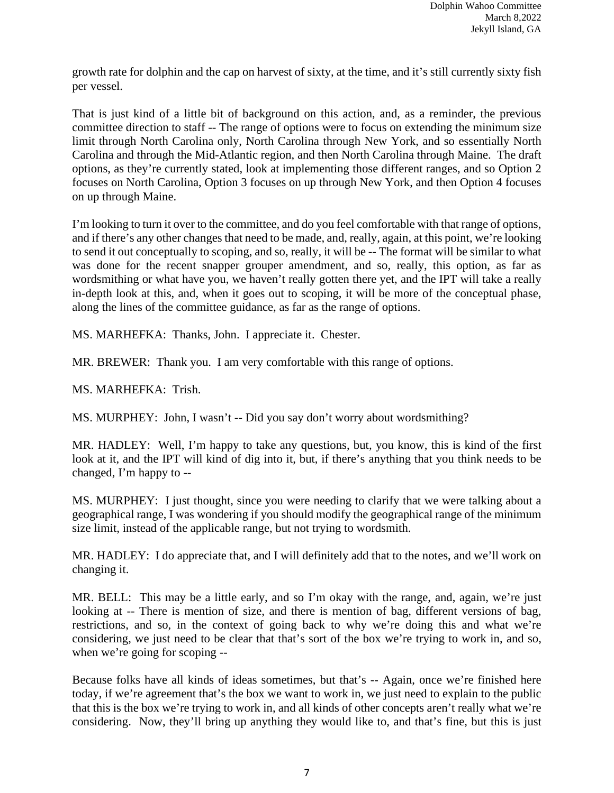growth rate for dolphin and the cap on harvest of sixty, at the time, and it's still currently sixty fish per vessel.

That is just kind of a little bit of background on this action, and, as a reminder, the previous committee direction to staff -- The range of options were to focus on extending the minimum size limit through North Carolina only, North Carolina through New York, and so essentially North Carolina and through the Mid-Atlantic region, and then North Carolina through Maine. The draft options, as they're currently stated, look at implementing those different ranges, and so Option 2 focuses on North Carolina, Option 3 focuses on up through New York, and then Option 4 focuses on up through Maine.

I'm looking to turn it over to the committee, and do you feel comfortable with that range of options, and if there's any other changes that need to be made, and, really, again, at this point, we're looking to send it out conceptually to scoping, and so, really, it will be -- The format will be similar to what was done for the recent snapper grouper amendment, and so, really, this option, as far as wordsmithing or what have you, we haven't really gotten there yet, and the IPT will take a really in-depth look at this, and, when it goes out to scoping, it will be more of the conceptual phase, along the lines of the committee guidance, as far as the range of options.

MS. MARHEFKA: Thanks, John. I appreciate it. Chester.

MR. BREWER: Thank you. I am very comfortable with this range of options.

MS. MARHEFKA: Trish.

MS. MURPHEY: John, I wasn't -- Did you say don't worry about wordsmithing?

MR. HADLEY: Well, I'm happy to take any questions, but, you know, this is kind of the first look at it, and the IPT will kind of dig into it, but, if there's anything that you think needs to be changed, I'm happy to --

MS. MURPHEY: I just thought, since you were needing to clarify that we were talking about a geographical range, I was wondering if you should modify the geographical range of the minimum size limit, instead of the applicable range, but not trying to wordsmith.

MR. HADLEY: I do appreciate that, and I will definitely add that to the notes, and we'll work on changing it.

MR. BELL: This may be a little early, and so I'm okay with the range, and, again, we're just looking at -- There is mention of size, and there is mention of bag, different versions of bag, restrictions, and so, in the context of going back to why we're doing this and what we're considering, we just need to be clear that that's sort of the box we're trying to work in, and so, when we're going for scoping --

Because folks have all kinds of ideas sometimes, but that's -- Again, once we're finished here today, if we're agreement that's the box we want to work in, we just need to explain to the public that this is the box we're trying to work in, and all kinds of other concepts aren't really what we're considering. Now, they'll bring up anything they would like to, and that's fine, but this is just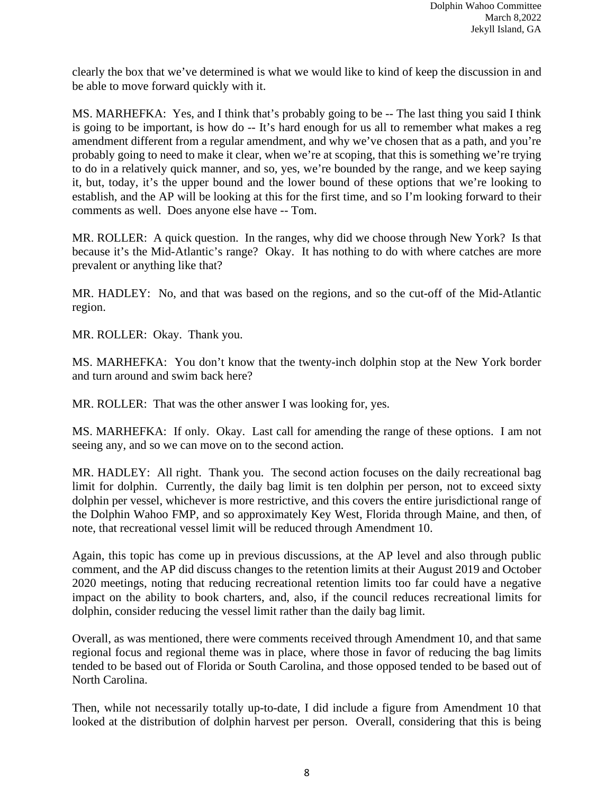clearly the box that we've determined is what we would like to kind of keep the discussion in and be able to move forward quickly with it.

MS. MARHEFKA: Yes, and I think that's probably going to be -- The last thing you said I think is going to be important, is how do -- It's hard enough for us all to remember what makes a reg amendment different from a regular amendment, and why we've chosen that as a path, and you're probably going to need to make it clear, when we're at scoping, that this is something we're trying to do in a relatively quick manner, and so, yes, we're bounded by the range, and we keep saying it, but, today, it's the upper bound and the lower bound of these options that we're looking to establish, and the AP will be looking at this for the first time, and so I'm looking forward to their comments as well. Does anyone else have -- Tom.

MR. ROLLER: A quick question. In the ranges, why did we choose through New York? Is that because it's the Mid-Atlantic's range? Okay. It has nothing to do with where catches are more prevalent or anything like that?

MR. HADLEY: No, and that was based on the regions, and so the cut-off of the Mid-Atlantic region.

MR. ROLLER: Okay. Thank you.

MS. MARHEFKA: You don't know that the twenty-inch dolphin stop at the New York border and turn around and swim back here?

MR. ROLLER: That was the other answer I was looking for, yes.

MS. MARHEFKA: If only. Okay. Last call for amending the range of these options. I am not seeing any, and so we can move on to the second action.

MR. HADLEY: All right. Thank you. The second action focuses on the daily recreational bag limit for dolphin. Currently, the daily bag limit is ten dolphin per person, not to exceed sixty dolphin per vessel, whichever is more restrictive, and this covers the entire jurisdictional range of the Dolphin Wahoo FMP, and so approximately Key West, Florida through Maine, and then, of note, that recreational vessel limit will be reduced through Amendment 10.

Again, this topic has come up in previous discussions, at the AP level and also through public comment, and the AP did discuss changes to the retention limits at their August 2019 and October 2020 meetings, noting that reducing recreational retention limits too far could have a negative impact on the ability to book charters, and, also, if the council reduces recreational limits for dolphin, consider reducing the vessel limit rather than the daily bag limit.

Overall, as was mentioned, there were comments received through Amendment 10, and that same regional focus and regional theme was in place, where those in favor of reducing the bag limits tended to be based out of Florida or South Carolina, and those opposed tended to be based out of North Carolina.

Then, while not necessarily totally up-to-date, I did include a figure from Amendment 10 that looked at the distribution of dolphin harvest per person. Overall, considering that this is being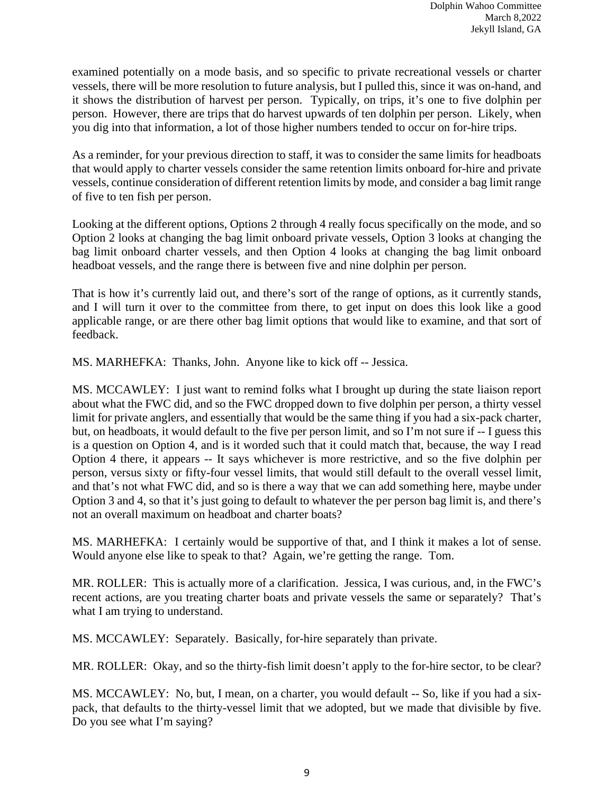examined potentially on a mode basis, and so specific to private recreational vessels or charter vessels, there will be more resolution to future analysis, but I pulled this, since it was on-hand, and it shows the distribution of harvest per person. Typically, on trips, it's one to five dolphin per person. However, there are trips that do harvest upwards of ten dolphin per person. Likely, when you dig into that information, a lot of those higher numbers tended to occur on for-hire trips.

As a reminder, for your previous direction to staff, it was to consider the same limits for headboats that would apply to charter vessels consider the same retention limits onboard for-hire and private vessels, continue consideration of different retention limits by mode, and consider a bag limit range of five to ten fish per person.

Looking at the different options, Options 2 through 4 really focus specifically on the mode, and so Option 2 looks at changing the bag limit onboard private vessels, Option 3 looks at changing the bag limit onboard charter vessels, and then Option 4 looks at changing the bag limit onboard headboat vessels, and the range there is between five and nine dolphin per person.

That is how it's currently laid out, and there's sort of the range of options, as it currently stands, and I will turn it over to the committee from there, to get input on does this look like a good applicable range, or are there other bag limit options that would like to examine, and that sort of feedback.

MS. MARHEFKA: Thanks, John. Anyone like to kick off -- Jessica.

MS. MCCAWLEY: I just want to remind folks what I brought up during the state liaison report about what the FWC did, and so the FWC dropped down to five dolphin per person, a thirty vessel limit for private anglers, and essentially that would be the same thing if you had a six-pack charter, but, on headboats, it would default to the five per person limit, and so I'm not sure if -- I guess this is a question on Option 4, and is it worded such that it could match that, because, the way I read Option 4 there, it appears -- It says whichever is more restrictive, and so the five dolphin per person, versus sixty or fifty-four vessel limits, that would still default to the overall vessel limit, and that's not what FWC did, and so is there a way that we can add something here, maybe under Option 3 and 4, so that it's just going to default to whatever the per person bag limit is, and there's not an overall maximum on headboat and charter boats?

MS. MARHEFKA: I certainly would be supportive of that, and I think it makes a lot of sense. Would anyone else like to speak to that? Again, we're getting the range. Tom.

MR. ROLLER: This is actually more of a clarification. Jessica, I was curious, and, in the FWC's recent actions, are you treating charter boats and private vessels the same or separately? That's what I am trying to understand.

MS. MCCAWLEY: Separately. Basically, for-hire separately than private.

MR. ROLLER: Okay, and so the thirty-fish limit doesn't apply to the for-hire sector, to be clear?

MS. MCCAWLEY: No, but, I mean, on a charter, you would default -- So, like if you had a sixpack, that defaults to the thirty-vessel limit that we adopted, but we made that divisible by five. Do you see what I'm saying?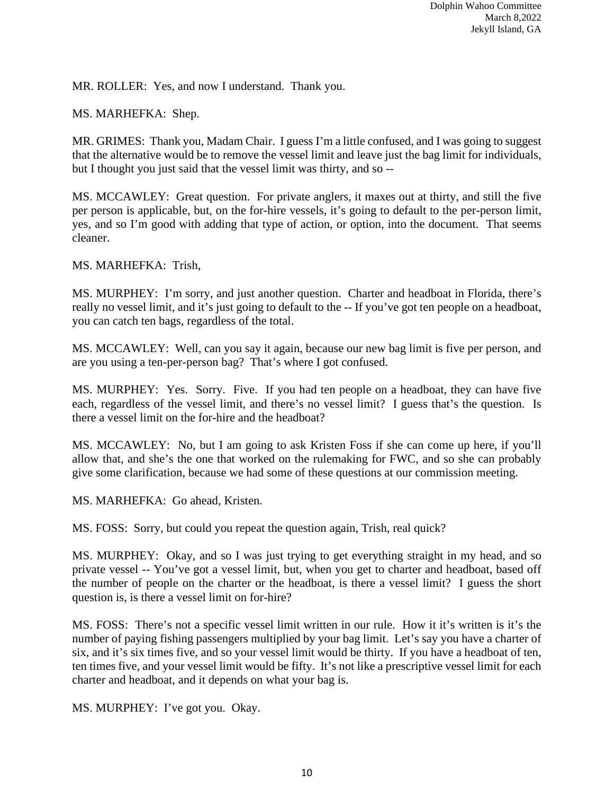MR. ROLLER: Yes, and now I understand. Thank you.

MS. MARHEFKA: Shep.

MR. GRIMES: Thank you, Madam Chair. I guess I'm a little confused, and I was going to suggest that the alternative would be to remove the vessel limit and leave just the bag limit for individuals, but I thought you just said that the vessel limit was thirty, and so --

MS. MCCAWLEY: Great question. For private anglers, it maxes out at thirty, and still the five per person is applicable, but, on the for-hire vessels, it's going to default to the per-person limit, yes, and so I'm good with adding that type of action, or option, into the document. That seems cleaner.

MS. MARHEFKA: Trish,

MS. MURPHEY: I'm sorry, and just another question. Charter and headboat in Florida, there's really no vessel limit, and it's just going to default to the -- If you've got ten people on a headboat, you can catch ten bags, regardless of the total.

MS. MCCAWLEY: Well, can you say it again, because our new bag limit is five per person, and are you using a ten-per-person bag? That's where I got confused.

MS. MURPHEY: Yes. Sorry. Five. If you had ten people on a headboat, they can have five each, regardless of the vessel limit, and there's no vessel limit? I guess that's the question. Is there a vessel limit on the for-hire and the headboat?

MS. MCCAWLEY: No, but I am going to ask Kristen Foss if she can come up here, if you'll allow that, and she's the one that worked on the rulemaking for FWC, and so she can probably give some clarification, because we had some of these questions at our commission meeting.

MS. MARHEFKA: Go ahead, Kristen.

MS. FOSS: Sorry, but could you repeat the question again, Trish, real quick?

MS. MURPHEY: Okay, and so I was just trying to get everything straight in my head, and so private vessel -- You've got a vessel limit, but, when you get to charter and headboat, based off the number of people on the charter or the headboat, is there a vessel limit? I guess the short question is, is there a vessel limit on for-hire?

MS. FOSS: There's not a specific vessel limit written in our rule. How it it's written is it's the number of paying fishing passengers multiplied by your bag limit. Let's say you have a charter of six, and it's six times five, and so your vessel limit would be thirty. If you have a headboat of ten, ten times five, and your vessel limit would be fifty. It's not like a prescriptive vessel limit for each charter and headboat, and it depends on what your bag is.

MS. MURPHEY: I've got you. Okay.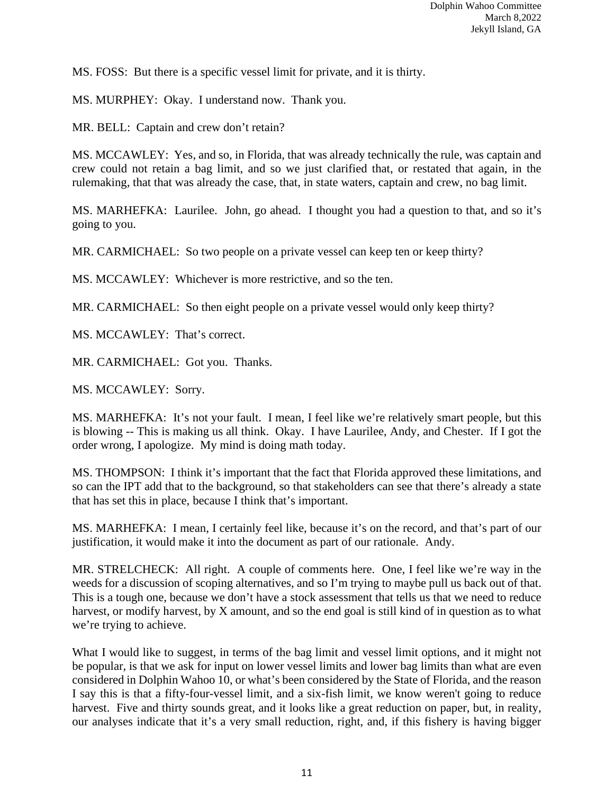MS. FOSS: But there is a specific vessel limit for private, and it is thirty.

MS. MURPHEY: Okay. I understand now. Thank you.

MR. BELL: Captain and crew don't retain?

MS. MCCAWLEY: Yes, and so, in Florida, that was already technically the rule, was captain and crew could not retain a bag limit, and so we just clarified that, or restated that again, in the rulemaking, that that was already the case, that, in state waters, captain and crew, no bag limit.

MS. MARHEFKA: Laurilee. John, go ahead. I thought you had a question to that, and so it's going to you.

MR. CARMICHAEL: So two people on a private vessel can keep ten or keep thirty?

MS. MCCAWLEY: Whichever is more restrictive, and so the ten.

MR. CARMICHAEL: So then eight people on a private vessel would only keep thirty?

MS. MCCAWLEY: That's correct.

MR. CARMICHAEL: Got you. Thanks.

MS. MCCAWLEY: Sorry.

MS. MARHEFKA: It's not your fault. I mean, I feel like we're relatively smart people, but this is blowing -- This is making us all think. Okay. I have Laurilee, Andy, and Chester. If I got the order wrong, I apologize. My mind is doing math today.

MS. THOMPSON: I think it's important that the fact that Florida approved these limitations, and so can the IPT add that to the background, so that stakeholders can see that there's already a state that has set this in place, because I think that's important.

MS. MARHEFKA: I mean, I certainly feel like, because it's on the record, and that's part of our justification, it would make it into the document as part of our rationale. Andy.

MR. STRELCHECK: All right. A couple of comments here. One, I feel like we're way in the weeds for a discussion of scoping alternatives, and so I'm trying to maybe pull us back out of that. This is a tough one, because we don't have a stock assessment that tells us that we need to reduce harvest, or modify harvest, by X amount, and so the end goal is still kind of in question as to what we're trying to achieve.

What I would like to suggest, in terms of the bag limit and vessel limit options, and it might not be popular, is that we ask for input on lower vessel limits and lower bag limits than what are even considered in Dolphin Wahoo 10, or what's been considered by the State of Florida, and the reason I say this is that a fifty-four-vessel limit, and a six-fish limit, we know weren't going to reduce harvest. Five and thirty sounds great, and it looks like a great reduction on paper, but, in reality, our analyses indicate that it's a very small reduction, right, and, if this fishery is having bigger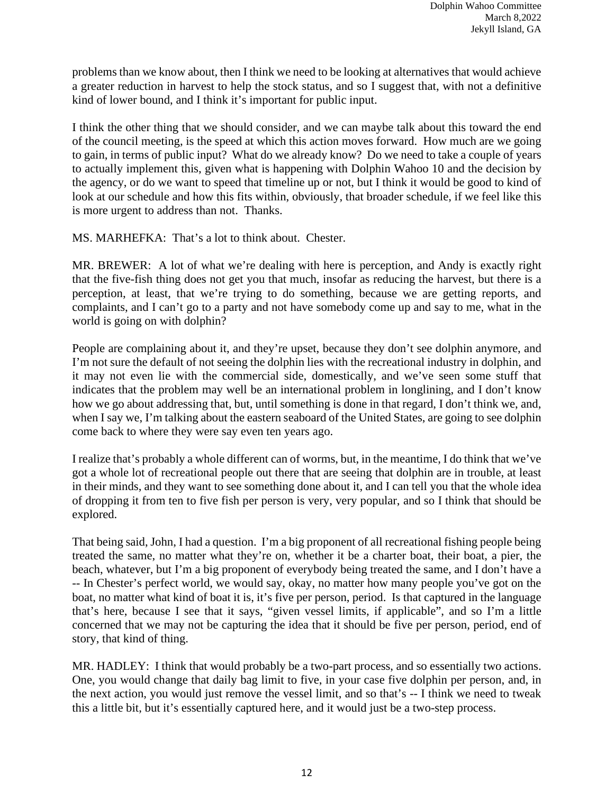problems than we know about, then I think we need to be looking at alternatives that would achieve a greater reduction in harvest to help the stock status, and so I suggest that, with not a definitive kind of lower bound, and I think it's important for public input.

I think the other thing that we should consider, and we can maybe talk about this toward the end of the council meeting, is the speed at which this action moves forward. How much are we going to gain, in terms of public input? What do we already know? Do we need to take a couple of years to actually implement this, given what is happening with Dolphin Wahoo 10 and the decision by the agency, or do we want to speed that timeline up or not, but I think it would be good to kind of look at our schedule and how this fits within, obviously, that broader schedule, if we feel like this is more urgent to address than not. Thanks.

MS. MARHEFKA: That's a lot to think about. Chester.

MR. BREWER: A lot of what we're dealing with here is perception, and Andy is exactly right that the five-fish thing does not get you that much, insofar as reducing the harvest, but there is a perception, at least, that we're trying to do something, because we are getting reports, and complaints, and I can't go to a party and not have somebody come up and say to me, what in the world is going on with dolphin?

People are complaining about it, and they're upset, because they don't see dolphin anymore, and I'm not sure the default of not seeing the dolphin lies with the recreational industry in dolphin, and it may not even lie with the commercial side, domestically, and we've seen some stuff that indicates that the problem may well be an international problem in longlining, and I don't know how we go about addressing that, but, until something is done in that regard, I don't think we, and, when I say we, I'm talking about the eastern seaboard of the United States, are going to see dolphin come back to where they were say even ten years ago.

I realize that's probably a whole different can of worms, but, in the meantime, I do think that we've got a whole lot of recreational people out there that are seeing that dolphin are in trouble, at least in their minds, and they want to see something done about it, and I can tell you that the whole idea of dropping it from ten to five fish per person is very, very popular, and so I think that should be explored.

That being said, John, I had a question. I'm a big proponent of all recreational fishing people being treated the same, no matter what they're on, whether it be a charter boat, their boat, a pier, the beach, whatever, but I'm a big proponent of everybody being treated the same, and I don't have a -- In Chester's perfect world, we would say, okay, no matter how many people you've got on the boat, no matter what kind of boat it is, it's five per person, period. Is that captured in the language that's here, because I see that it says, "given vessel limits, if applicable", and so I'm a little concerned that we may not be capturing the idea that it should be five per person, period, end of story, that kind of thing.

MR. HADLEY: I think that would probably be a two-part process, and so essentially two actions. One, you would change that daily bag limit to five, in your case five dolphin per person, and, in the next action, you would just remove the vessel limit, and so that's -- I think we need to tweak this a little bit, but it's essentially captured here, and it would just be a two-step process.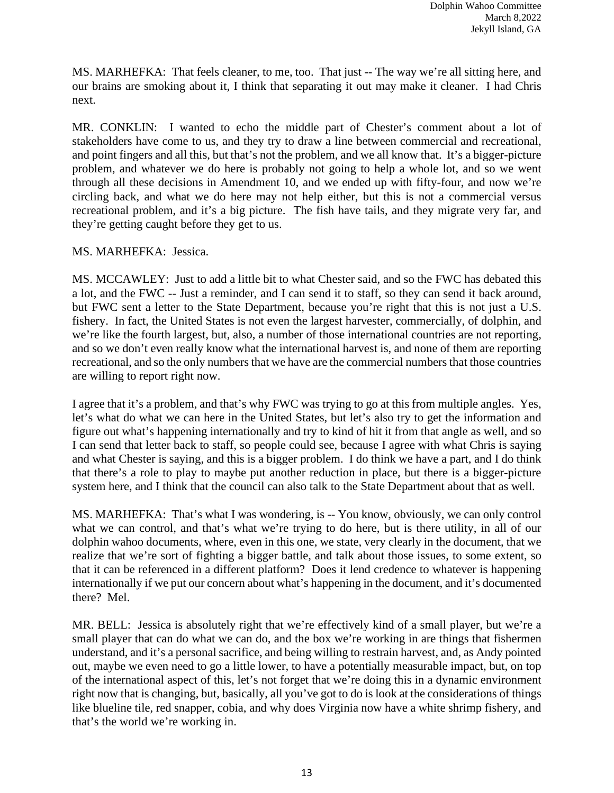MS. MARHEFKA: That feels cleaner, to me, too. That just -- The way we're all sitting here, and our brains are smoking about it, I think that separating it out may make it cleaner. I had Chris next.

MR. CONKLIN: I wanted to echo the middle part of Chester's comment about a lot of stakeholders have come to us, and they try to draw a line between commercial and recreational, and point fingers and all this, but that's not the problem, and we all know that. It's a bigger-picture problem, and whatever we do here is probably not going to help a whole lot, and so we went through all these decisions in Amendment 10, and we ended up with fifty-four, and now we're circling back, and what we do here may not help either, but this is not a commercial versus recreational problem, and it's a big picture. The fish have tails, and they migrate very far, and they're getting caught before they get to us.

## MS. MARHEFKA: Jessica.

MS. MCCAWLEY: Just to add a little bit to what Chester said, and so the FWC has debated this a lot, and the FWC -- Just a reminder, and I can send it to staff, so they can send it back around, but FWC sent a letter to the State Department, because you're right that this is not just a U.S. fishery. In fact, the United States is not even the largest harvester, commercially, of dolphin, and we're like the fourth largest, but, also, a number of those international countries are not reporting, and so we don't even really know what the international harvest is, and none of them are reporting recreational, and so the only numbers that we have are the commercial numbers that those countries are willing to report right now.

I agree that it's a problem, and that's why FWC was trying to go at this from multiple angles. Yes, let's what do what we can here in the United States, but let's also try to get the information and figure out what's happening internationally and try to kind of hit it from that angle as well, and so I can send that letter back to staff, so people could see, because I agree with what Chris is saying and what Chester is saying, and this is a bigger problem. I do think we have a part, and I do think that there's a role to play to maybe put another reduction in place, but there is a bigger-picture system here, and I think that the council can also talk to the State Department about that as well.

MS. MARHEFKA: That's what I was wondering, is -- You know, obviously, we can only control what we can control, and that's what we're trying to do here, but is there utility, in all of our dolphin wahoo documents, where, even in this one, we state, very clearly in the document, that we realize that we're sort of fighting a bigger battle, and talk about those issues, to some extent, so that it can be referenced in a different platform? Does it lend credence to whatever is happening internationally if we put our concern about what's happening in the document, and it's documented there? Mel.

MR. BELL: Jessica is absolutely right that we're effectively kind of a small player, but we're a small player that can do what we can do, and the box we're working in are things that fishermen understand, and it's a personal sacrifice, and being willing to restrain harvest, and, as Andy pointed out, maybe we even need to go a little lower, to have a potentially measurable impact, but, on top of the international aspect of this, let's not forget that we're doing this in a dynamic environment right now that is changing, but, basically, all you've got to do is look at the considerations of things like blueline tile, red snapper, cobia, and why does Virginia now have a white shrimp fishery, and that's the world we're working in.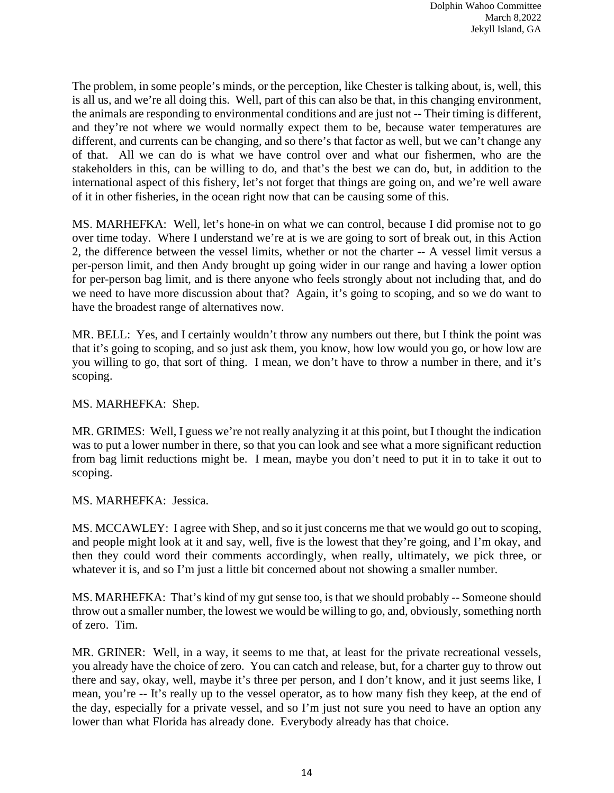The problem, in some people's minds, or the perception, like Chester is talking about, is, well, this is all us, and we're all doing this. Well, part of this can also be that, in this changing environment, the animals are responding to environmental conditions and are just not -- Their timing is different, and they're not where we would normally expect them to be, because water temperatures are different, and currents can be changing, and so there's that factor as well, but we can't change any of that. All we can do is what we have control over and what our fishermen, who are the stakeholders in this, can be willing to do, and that's the best we can do, but, in addition to the international aspect of this fishery, let's not forget that things are going on, and we're well aware of it in other fisheries, in the ocean right now that can be causing some of this.

MS. MARHEFKA: Well, let's hone-in on what we can control, because I did promise not to go over time today. Where I understand we're at is we are going to sort of break out, in this Action 2, the difference between the vessel limits, whether or not the charter -- A vessel limit versus a per-person limit, and then Andy brought up going wider in our range and having a lower option for per-person bag limit, and is there anyone who feels strongly about not including that, and do we need to have more discussion about that? Again, it's going to scoping, and so we do want to have the broadest range of alternatives now.

MR. BELL: Yes, and I certainly wouldn't throw any numbers out there, but I think the point was that it's going to scoping, and so just ask them, you know, how low would you go, or how low are you willing to go, that sort of thing. I mean, we don't have to throw a number in there, and it's scoping.

## MS. MARHEFKA: Shep.

MR. GRIMES: Well, I guess we're not really analyzing it at this point, but I thought the indication was to put a lower number in there, so that you can look and see what a more significant reduction from bag limit reductions might be. I mean, maybe you don't need to put it in to take it out to scoping.

MS. MARHEFKA: Jessica.

MS. MCCAWLEY: I agree with Shep, and so it just concerns me that we would go out to scoping, and people might look at it and say, well, five is the lowest that they're going, and I'm okay, and then they could word their comments accordingly, when really, ultimately, we pick three, or whatever it is, and so I'm just a little bit concerned about not showing a smaller number.

MS. MARHEFKA: That's kind of my gut sense too, is that we should probably -- Someone should throw out a smaller number, the lowest we would be willing to go, and, obviously, something north of zero. Tim.

MR. GRINER: Well, in a way, it seems to me that, at least for the private recreational vessels, you already have the choice of zero. You can catch and release, but, for a charter guy to throw out there and say, okay, well, maybe it's three per person, and I don't know, and it just seems like, I mean, you're -- It's really up to the vessel operator, as to how many fish they keep, at the end of the day, especially for a private vessel, and so I'm just not sure you need to have an option any lower than what Florida has already done. Everybody already has that choice.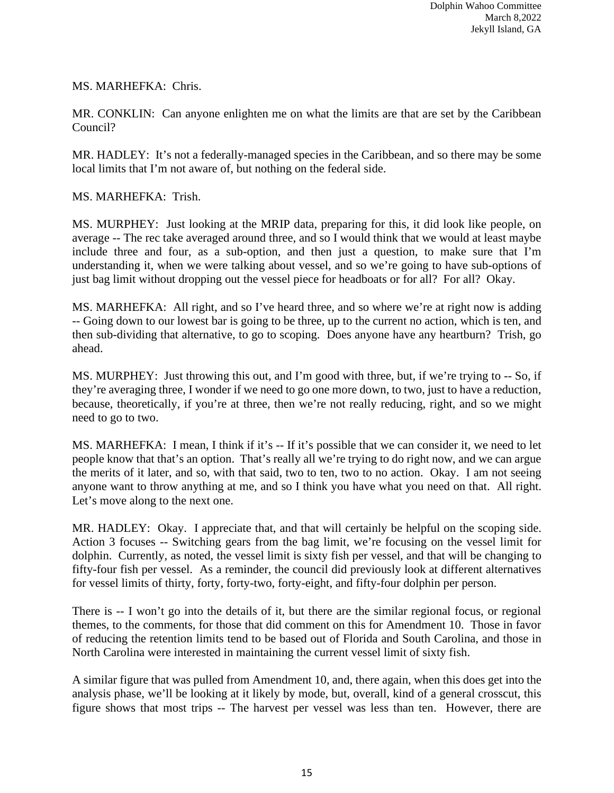## MS. MARHEFKA: Chris.

MR. CONKLIN: Can anyone enlighten me on what the limits are that are set by the Caribbean Council?

MR. HADLEY: It's not a federally-managed species in the Caribbean, and so there may be some local limits that I'm not aware of, but nothing on the federal side.

## MS. MARHEFKA: Trish.

MS. MURPHEY: Just looking at the MRIP data, preparing for this, it did look like people, on average -- The rec take averaged around three, and so I would think that we would at least maybe include three and four, as a sub-option, and then just a question, to make sure that I'm understanding it, when we were talking about vessel, and so we're going to have sub-options of just bag limit without dropping out the vessel piece for headboats or for all? For all? Okay.

MS. MARHEFKA: All right, and so I've heard three, and so where we're at right now is adding -- Going down to our lowest bar is going to be three, up to the current no action, which is ten, and then sub-dividing that alternative, to go to scoping. Does anyone have any heartburn? Trish, go ahead.

MS. MURPHEY: Just throwing this out, and I'm good with three, but, if we're trying to -- So, if they're averaging three, I wonder if we need to go one more down, to two, just to have a reduction, because, theoretically, if you're at three, then we're not really reducing, right, and so we might need to go to two.

MS. MARHEFKA: I mean, I think if it's -- If it's possible that we can consider it, we need to let people know that that's an option. That's really all we're trying to do right now, and we can argue the merits of it later, and so, with that said, two to ten, two to no action. Okay. I am not seeing anyone want to throw anything at me, and so I think you have what you need on that. All right. Let's move along to the next one.

MR. HADLEY: Okay. I appreciate that, and that will certainly be helpful on the scoping side. Action 3 focuses -- Switching gears from the bag limit, we're focusing on the vessel limit for dolphin. Currently, as noted, the vessel limit is sixty fish per vessel, and that will be changing to fifty-four fish per vessel. As a reminder, the council did previously look at different alternatives for vessel limits of thirty, forty, forty-two, forty-eight, and fifty-four dolphin per person.

There is -- I won't go into the details of it, but there are the similar regional focus, or regional themes, to the comments, for those that did comment on this for Amendment 10. Those in favor of reducing the retention limits tend to be based out of Florida and South Carolina, and those in North Carolina were interested in maintaining the current vessel limit of sixty fish.

A similar figure that was pulled from Amendment 10, and, there again, when this does get into the analysis phase, we'll be looking at it likely by mode, but, overall, kind of a general crosscut, this figure shows that most trips -- The harvest per vessel was less than ten. However, there are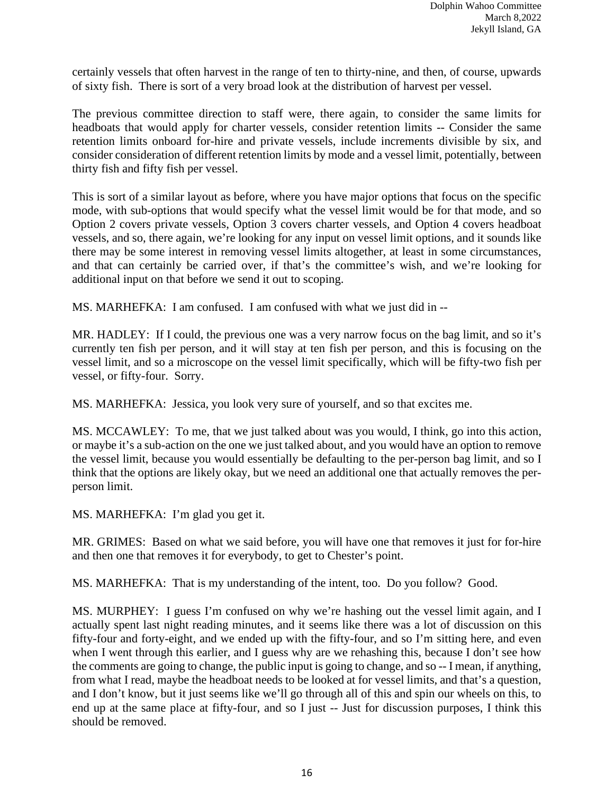certainly vessels that often harvest in the range of ten to thirty-nine, and then, of course, upwards of sixty fish. There is sort of a very broad look at the distribution of harvest per vessel.

The previous committee direction to staff were, there again, to consider the same limits for headboats that would apply for charter vessels, consider retention limits -- Consider the same retention limits onboard for-hire and private vessels, include increments divisible by six, and consider consideration of different retention limits by mode and a vessel limit, potentially, between thirty fish and fifty fish per vessel.

This is sort of a similar layout as before, where you have major options that focus on the specific mode, with sub-options that would specify what the vessel limit would be for that mode, and so Option 2 covers private vessels, Option 3 covers charter vessels, and Option 4 covers headboat vessels, and so, there again, we're looking for any input on vessel limit options, and it sounds like there may be some interest in removing vessel limits altogether, at least in some circumstances, and that can certainly be carried over, if that's the committee's wish, and we're looking for additional input on that before we send it out to scoping.

MS. MARHEFKA: I am confused. I am confused with what we just did in --

MR. HADLEY: If I could, the previous one was a very narrow focus on the bag limit, and so it's currently ten fish per person, and it will stay at ten fish per person, and this is focusing on the vessel limit, and so a microscope on the vessel limit specifically, which will be fifty-two fish per vessel, or fifty-four. Sorry.

MS. MARHEFKA: Jessica, you look very sure of yourself, and so that excites me.

MS. MCCAWLEY: To me, that we just talked about was you would, I think, go into this action, or maybe it's a sub-action on the one we just talked about, and you would have an option to remove the vessel limit, because you would essentially be defaulting to the per-person bag limit, and so I think that the options are likely okay, but we need an additional one that actually removes the perperson limit.

MS. MARHEFKA: I'm glad you get it.

MR. GRIMES: Based on what we said before, you will have one that removes it just for for-hire and then one that removes it for everybody, to get to Chester's point.

MS. MARHEFKA: That is my understanding of the intent, too. Do you follow? Good.

MS. MURPHEY: I guess I'm confused on why we're hashing out the vessel limit again, and I actually spent last night reading minutes, and it seems like there was a lot of discussion on this fifty-four and forty-eight, and we ended up with the fifty-four, and so I'm sitting here, and even when I went through this earlier, and I guess why are we rehashing this, because I don't see how the comments are going to change, the public input is going to change, and so -- I mean, if anything, from what I read, maybe the headboat needs to be looked at for vessel limits, and that's a question, and I don't know, but it just seems like we'll go through all of this and spin our wheels on this, to end up at the same place at fifty-four, and so I just -- Just for discussion purposes, I think this should be removed.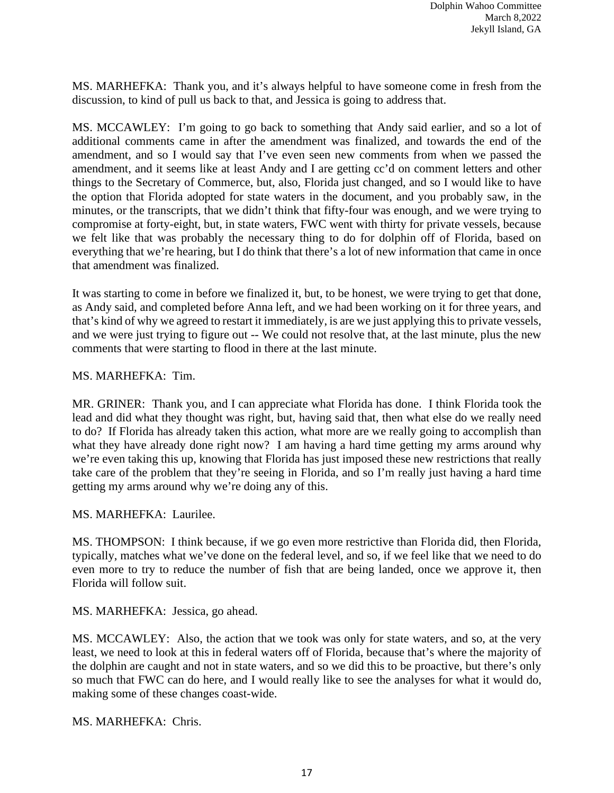MS. MARHEFKA: Thank you, and it's always helpful to have someone come in fresh from the discussion, to kind of pull us back to that, and Jessica is going to address that.

MS. MCCAWLEY: I'm going to go back to something that Andy said earlier, and so a lot of additional comments came in after the amendment was finalized, and towards the end of the amendment, and so I would say that I've even seen new comments from when we passed the amendment, and it seems like at least Andy and I are getting cc'd on comment letters and other things to the Secretary of Commerce, but, also, Florida just changed, and so I would like to have the option that Florida adopted for state waters in the document, and you probably saw, in the minutes, or the transcripts, that we didn't think that fifty-four was enough, and we were trying to compromise at forty-eight, but, in state waters, FWC went with thirty for private vessels, because we felt like that was probably the necessary thing to do for dolphin off of Florida, based on everything that we're hearing, but I do think that there's a lot of new information that came in once that amendment was finalized.

It was starting to come in before we finalized it, but, to be honest, we were trying to get that done, as Andy said, and completed before Anna left, and we had been working on it for three years, and that's kind of why we agreed to restart it immediately, is are we just applying this to private vessels, and we were just trying to figure out -- We could not resolve that, at the last minute, plus the new comments that were starting to flood in there at the last minute.

## MS. MARHEFKA: Tim.

MR. GRINER: Thank you, and I can appreciate what Florida has done. I think Florida took the lead and did what they thought was right, but, having said that, then what else do we really need to do? If Florida has already taken this action, what more are we really going to accomplish than what they have already done right now? I am having a hard time getting my arms around why we're even taking this up, knowing that Florida has just imposed these new restrictions that really take care of the problem that they're seeing in Florida, and so I'm really just having a hard time getting my arms around why we're doing any of this.

MS. MARHEFKA: Laurilee.

MS. THOMPSON: I think because, if we go even more restrictive than Florida did, then Florida, typically, matches what we've done on the federal level, and so, if we feel like that we need to do even more to try to reduce the number of fish that are being landed, once we approve it, then Florida will follow suit.

MS. MARHEFKA: Jessica, go ahead.

MS. MCCAWLEY: Also, the action that we took was only for state waters, and so, at the very least, we need to look at this in federal waters off of Florida, because that's where the majority of the dolphin are caught and not in state waters, and so we did this to be proactive, but there's only so much that FWC can do here, and I would really like to see the analyses for what it would do, making some of these changes coast-wide.

MS. MARHEFKA: Chris.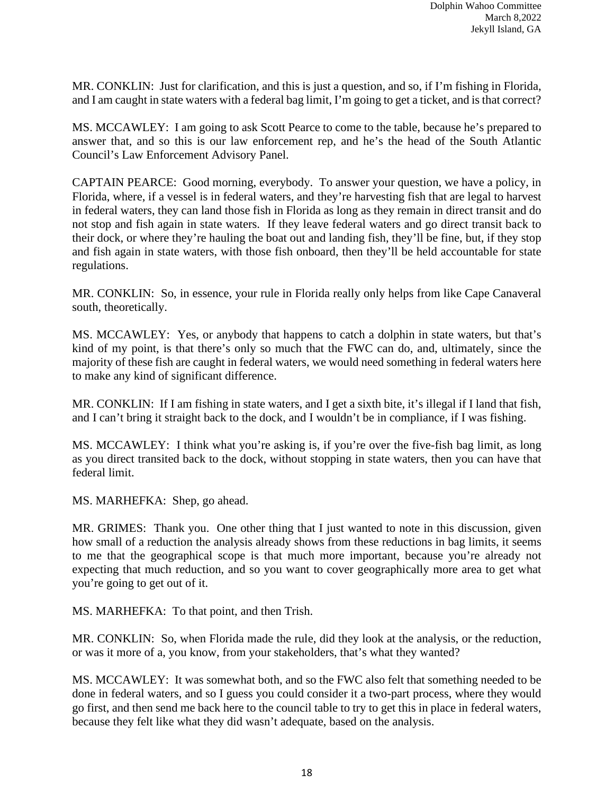MR. CONKLIN: Just for clarification, and this is just a question, and so, if I'm fishing in Florida, and I am caught in state waters with a federal bag limit, I'm going to get a ticket, and is that correct?

MS. MCCAWLEY: I am going to ask Scott Pearce to come to the table, because he's prepared to answer that, and so this is our law enforcement rep, and he's the head of the South Atlantic Council's Law Enforcement Advisory Panel.

CAPTAIN PEARCE: Good morning, everybody. To answer your question, we have a policy, in Florida, where, if a vessel is in federal waters, and they're harvesting fish that are legal to harvest in federal waters, they can land those fish in Florida as long as they remain in direct transit and do not stop and fish again in state waters. If they leave federal waters and go direct transit back to their dock, or where they're hauling the boat out and landing fish, they'll be fine, but, if they stop and fish again in state waters, with those fish onboard, then they'll be held accountable for state regulations.

MR. CONKLIN: So, in essence, your rule in Florida really only helps from like Cape Canaveral south, theoretically.

MS. MCCAWLEY: Yes, or anybody that happens to catch a dolphin in state waters, but that's kind of my point, is that there's only so much that the FWC can do, and, ultimately, since the majority of these fish are caught in federal waters, we would need something in federal waters here to make any kind of significant difference.

MR. CONKLIN: If I am fishing in state waters, and I get a sixth bite, it's illegal if I land that fish, and I can't bring it straight back to the dock, and I wouldn't be in compliance, if I was fishing.

MS. MCCAWLEY: I think what you're asking is, if you're over the five-fish bag limit, as long as you direct transited back to the dock, without stopping in state waters, then you can have that federal limit.

MS. MARHEFKA: Shep, go ahead.

MR. GRIMES: Thank you. One other thing that I just wanted to note in this discussion, given how small of a reduction the analysis already shows from these reductions in bag limits, it seems to me that the geographical scope is that much more important, because you're already not expecting that much reduction, and so you want to cover geographically more area to get what you're going to get out of it.

MS. MARHEFKA: To that point, and then Trish.

MR. CONKLIN: So, when Florida made the rule, did they look at the analysis, or the reduction, or was it more of a, you know, from your stakeholders, that's what they wanted?

MS. MCCAWLEY: It was somewhat both, and so the FWC also felt that something needed to be done in federal waters, and so I guess you could consider it a two-part process, where they would go first, and then send me back here to the council table to try to get this in place in federal waters, because they felt like what they did wasn't adequate, based on the analysis.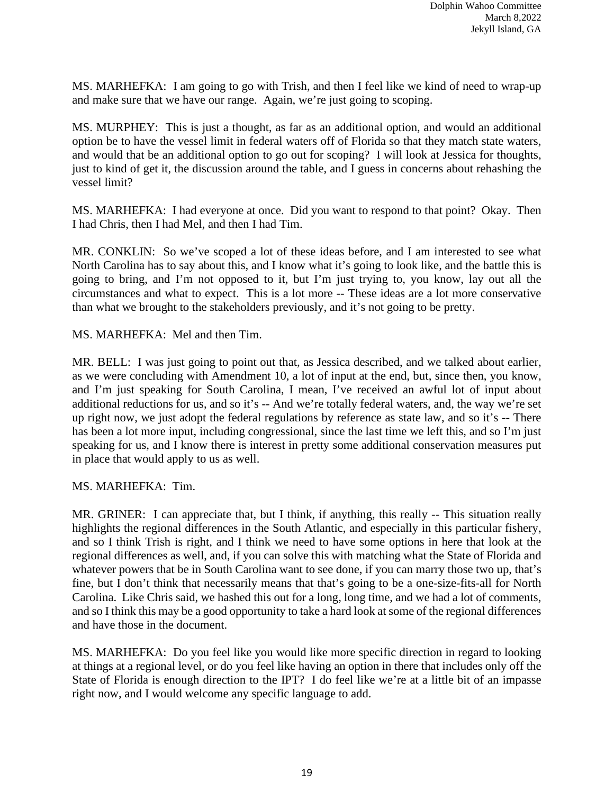MS. MARHEFKA: I am going to go with Trish, and then I feel like we kind of need to wrap-up and make sure that we have our range. Again, we're just going to scoping.

MS. MURPHEY: This is just a thought, as far as an additional option, and would an additional option be to have the vessel limit in federal waters off of Florida so that they match state waters, and would that be an additional option to go out for scoping? I will look at Jessica for thoughts, just to kind of get it, the discussion around the table, and I guess in concerns about rehashing the vessel limit?

MS. MARHEFKA: I had everyone at once. Did you want to respond to that point? Okay. Then I had Chris, then I had Mel, and then I had Tim.

MR. CONKLIN: So we've scoped a lot of these ideas before, and I am interested to see what North Carolina has to say about this, and I know what it's going to look like, and the battle this is going to bring, and I'm not opposed to it, but I'm just trying to, you know, lay out all the circumstances and what to expect. This is a lot more -- These ideas are a lot more conservative than what we brought to the stakeholders previously, and it's not going to be pretty.

MS. MARHEFKA: Mel and then Tim.

MR. BELL: I was just going to point out that, as Jessica described, and we talked about earlier, as we were concluding with Amendment 10, a lot of input at the end, but, since then, you know, and I'm just speaking for South Carolina, I mean, I've received an awful lot of input about additional reductions for us, and so it's -- And we're totally federal waters, and, the way we're set up right now, we just adopt the federal regulations by reference as state law, and so it's -- There has been a lot more input, including congressional, since the last time we left this, and so I'm just speaking for us, and I know there is interest in pretty some additional conservation measures put in place that would apply to us as well.

MS. MARHEFKA: Tim.

MR. GRINER: I can appreciate that, but I think, if anything, this really -- This situation really highlights the regional differences in the South Atlantic, and especially in this particular fishery, and so I think Trish is right, and I think we need to have some options in here that look at the regional differences as well, and, if you can solve this with matching what the State of Florida and whatever powers that be in South Carolina want to see done, if you can marry those two up, that's fine, but I don't think that necessarily means that that's going to be a one-size-fits-all for North Carolina. Like Chris said, we hashed this out for a long, long time, and we had a lot of comments, and so I think this may be a good opportunity to take a hard look at some of the regional differences and have those in the document.

MS. MARHEFKA: Do you feel like you would like more specific direction in regard to looking at things at a regional level, or do you feel like having an option in there that includes only off the State of Florida is enough direction to the IPT? I do feel like we're at a little bit of an impasse right now, and I would welcome any specific language to add.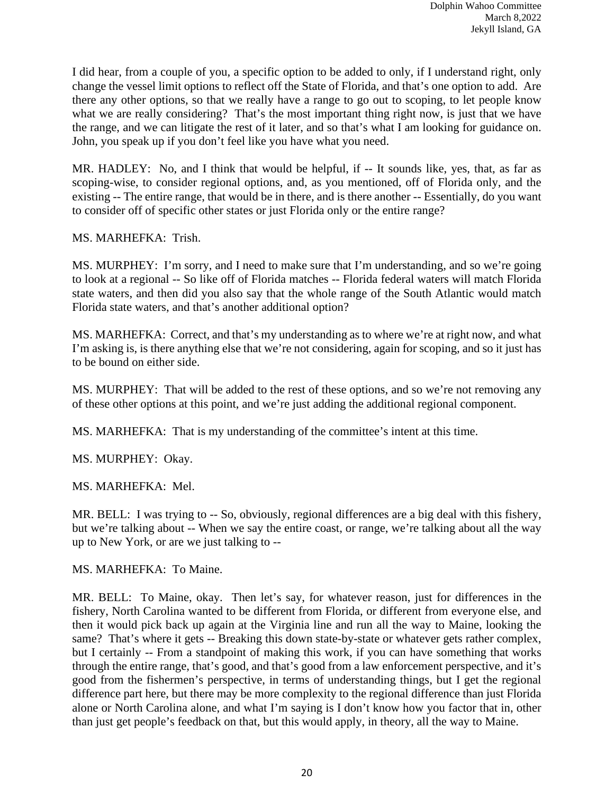I did hear, from a couple of you, a specific option to be added to only, if I understand right, only change the vessel limit options to reflect off the State of Florida, and that's one option to add. Are there any other options, so that we really have a range to go out to scoping, to let people know what we are really considering? That's the most important thing right now, is just that we have the range, and we can litigate the rest of it later, and so that's what I am looking for guidance on. John, you speak up if you don't feel like you have what you need.

MR. HADLEY: No, and I think that would be helpful, if -- It sounds like, yes, that, as far as scoping-wise, to consider regional options, and, as you mentioned, off of Florida only, and the existing -- The entire range, that would be in there, and is there another -- Essentially, do you want to consider off of specific other states or just Florida only or the entire range?

MS. MARHEFKA: Trish.

MS. MURPHEY: I'm sorry, and I need to make sure that I'm understanding, and so we're going to look at a regional -- So like off of Florida matches -- Florida federal waters will match Florida state waters, and then did you also say that the whole range of the South Atlantic would match Florida state waters, and that's another additional option?

MS. MARHEFKA: Correct, and that's my understanding as to where we're at right now, and what I'm asking is, is there anything else that we're not considering, again for scoping, and so it just has to be bound on either side.

MS. MURPHEY: That will be added to the rest of these options, and so we're not removing any of these other options at this point, and we're just adding the additional regional component.

MS. MARHEFKA: That is my understanding of the committee's intent at this time.

MS. MURPHEY: Okay.

MS. MARHEFKA: Mel.

MR. BELL: I was trying to -- So, obviously, regional differences are a big deal with this fishery, but we're talking about -- When we say the entire coast, or range, we're talking about all the way up to New York, or are we just talking to --

MS. MARHEFKA: To Maine.

MR. BELL: To Maine, okay. Then let's say, for whatever reason, just for differences in the fishery, North Carolina wanted to be different from Florida, or different from everyone else, and then it would pick back up again at the Virginia line and run all the way to Maine, looking the same? That's where it gets -- Breaking this down state-by-state or whatever gets rather complex, but I certainly -- From a standpoint of making this work, if you can have something that works through the entire range, that's good, and that's good from a law enforcement perspective, and it's good from the fishermen's perspective, in terms of understanding things, but I get the regional difference part here, but there may be more complexity to the regional difference than just Florida alone or North Carolina alone, and what I'm saying is I don't know how you factor that in, other than just get people's feedback on that, but this would apply, in theory, all the way to Maine.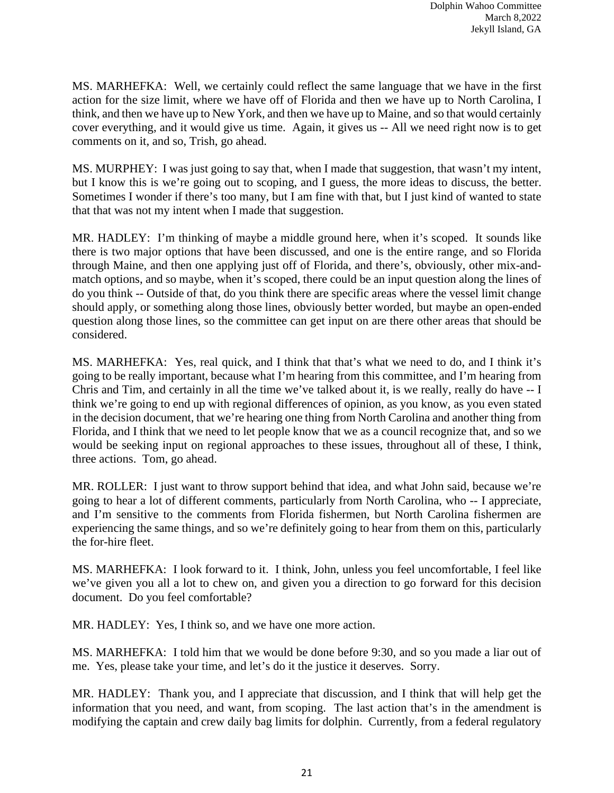MS. MARHEFKA: Well, we certainly could reflect the same language that we have in the first action for the size limit, where we have off of Florida and then we have up to North Carolina, I think, and then we have up to New York, and then we have up to Maine, and so that would certainly cover everything, and it would give us time. Again, it gives us -- All we need right now is to get comments on it, and so, Trish, go ahead.

MS. MURPHEY: I was just going to say that, when I made that suggestion, that wasn't my intent, but I know this is we're going out to scoping, and I guess, the more ideas to discuss, the better. Sometimes I wonder if there's too many, but I am fine with that, but I just kind of wanted to state that that was not my intent when I made that suggestion.

MR. HADLEY: I'm thinking of maybe a middle ground here, when it's scoped. It sounds like there is two major options that have been discussed, and one is the entire range, and so Florida through Maine, and then one applying just off of Florida, and there's, obviously, other mix-andmatch options, and so maybe, when it's scoped, there could be an input question along the lines of do you think -- Outside of that, do you think there are specific areas where the vessel limit change should apply, or something along those lines, obviously better worded, but maybe an open-ended question along those lines, so the committee can get input on are there other areas that should be considered.

MS. MARHEFKA: Yes, real quick, and I think that that's what we need to do, and I think it's going to be really important, because what I'm hearing from this committee, and I'm hearing from Chris and Tim, and certainly in all the time we've talked about it, is we really, really do have -- I think we're going to end up with regional differences of opinion, as you know, as you even stated in the decision document, that we're hearing one thing from North Carolina and another thing from Florida, and I think that we need to let people know that we as a council recognize that, and so we would be seeking input on regional approaches to these issues, throughout all of these, I think, three actions. Tom, go ahead.

MR. ROLLER: I just want to throw support behind that idea, and what John said, because we're going to hear a lot of different comments, particularly from North Carolina, who -- I appreciate, and I'm sensitive to the comments from Florida fishermen, but North Carolina fishermen are experiencing the same things, and so we're definitely going to hear from them on this, particularly the for-hire fleet.

MS. MARHEFKA: I look forward to it. I think, John, unless you feel uncomfortable, I feel like we've given you all a lot to chew on, and given you a direction to go forward for this decision document. Do you feel comfortable?

MR. HADLEY: Yes, I think so, and we have one more action.

MS. MARHEFKA: I told him that we would be done before 9:30, and so you made a liar out of me. Yes, please take your time, and let's do it the justice it deserves. Sorry.

MR. HADLEY: Thank you, and I appreciate that discussion, and I think that will help get the information that you need, and want, from scoping. The last action that's in the amendment is modifying the captain and crew daily bag limits for dolphin. Currently, from a federal regulatory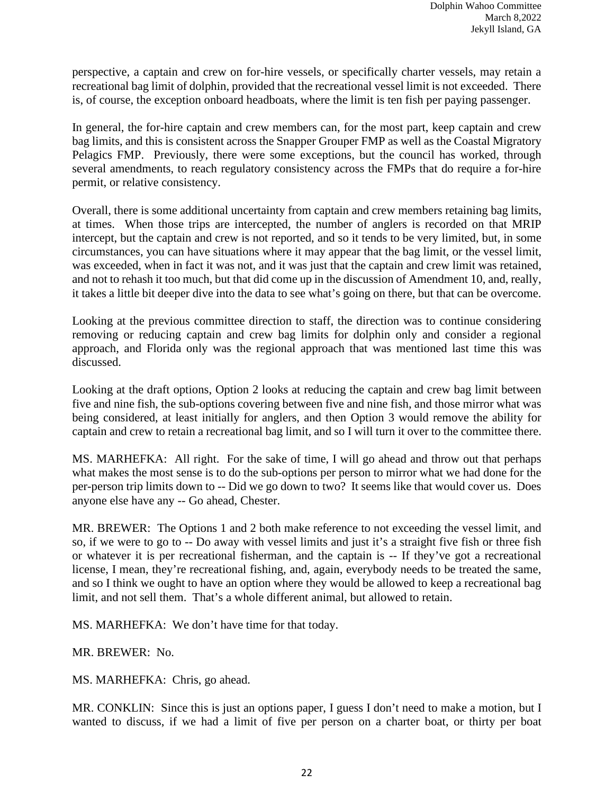perspective, a captain and crew on for-hire vessels, or specifically charter vessels, may retain a recreational bag limit of dolphin, provided that the recreational vessel limit is not exceeded. There is, of course, the exception onboard headboats, where the limit is ten fish per paying passenger.

In general, the for-hire captain and crew members can, for the most part, keep captain and crew bag limits, and this is consistent across the Snapper Grouper FMP as well as the Coastal Migratory Pelagics FMP. Previously, there were some exceptions, but the council has worked, through several amendments, to reach regulatory consistency across the FMPs that do require a for-hire permit, or relative consistency.

Overall, there is some additional uncertainty from captain and crew members retaining bag limits, at times. When those trips are intercepted, the number of anglers is recorded on that MRIP intercept, but the captain and crew is not reported, and so it tends to be very limited, but, in some circumstances, you can have situations where it may appear that the bag limit, or the vessel limit, was exceeded, when in fact it was not, and it was just that the captain and crew limit was retained, and not to rehash it too much, but that did come up in the discussion of Amendment 10, and, really, it takes a little bit deeper dive into the data to see what's going on there, but that can be overcome.

Looking at the previous committee direction to staff, the direction was to continue considering removing or reducing captain and crew bag limits for dolphin only and consider a regional approach, and Florida only was the regional approach that was mentioned last time this was discussed.

Looking at the draft options, Option 2 looks at reducing the captain and crew bag limit between five and nine fish, the sub-options covering between five and nine fish, and those mirror what was being considered, at least initially for anglers, and then Option 3 would remove the ability for captain and crew to retain a recreational bag limit, and so I will turn it over to the committee there.

MS. MARHEFKA: All right. For the sake of time, I will go ahead and throw out that perhaps what makes the most sense is to do the sub-options per person to mirror what we had done for the per-person trip limits down to -- Did we go down to two? It seems like that would cover us. Does anyone else have any -- Go ahead, Chester.

MR. BREWER: The Options 1 and 2 both make reference to not exceeding the vessel limit, and so, if we were to go to -- Do away with vessel limits and just it's a straight five fish or three fish or whatever it is per recreational fisherman, and the captain is -- If they've got a recreational license, I mean, they're recreational fishing, and, again, everybody needs to be treated the same, and so I think we ought to have an option where they would be allowed to keep a recreational bag limit, and not sell them. That's a whole different animal, but allowed to retain.

MS. MARHEFKA: We don't have time for that today.

MR. BREWER: No.

MS. MARHEFKA: Chris, go ahead.

MR. CONKLIN: Since this is just an options paper, I guess I don't need to make a motion, but I wanted to discuss, if we had a limit of five per person on a charter boat, or thirty per boat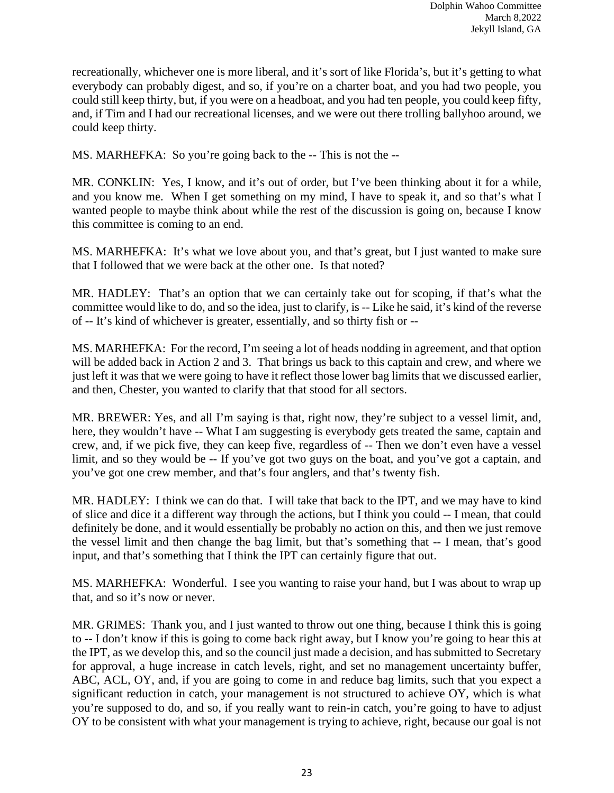recreationally, whichever one is more liberal, and it's sort of like Florida's, but it's getting to what everybody can probably digest, and so, if you're on a charter boat, and you had two people, you could still keep thirty, but, if you were on a headboat, and you had ten people, you could keep fifty, and, if Tim and I had our recreational licenses, and we were out there trolling ballyhoo around, we could keep thirty.

MS. MARHEFKA: So you're going back to the -- This is not the --

MR. CONKLIN: Yes, I know, and it's out of order, but I've been thinking about it for a while, and you know me. When I get something on my mind, I have to speak it, and so that's what I wanted people to maybe think about while the rest of the discussion is going on, because I know this committee is coming to an end.

MS. MARHEFKA: It's what we love about you, and that's great, but I just wanted to make sure that I followed that we were back at the other one. Is that noted?

MR. HADLEY: That's an option that we can certainly take out for scoping, if that's what the committee would like to do, and so the idea, just to clarify, is -- Like he said, it's kind of the reverse of -- It's kind of whichever is greater, essentially, and so thirty fish or --

MS. MARHEFKA: For the record, I'm seeing a lot of heads nodding in agreement, and that option will be added back in Action 2 and 3. That brings us back to this captain and crew, and where we just left it was that we were going to have it reflect those lower bag limits that we discussed earlier, and then, Chester, you wanted to clarify that that stood for all sectors.

MR. BREWER: Yes, and all I'm saying is that, right now, they're subject to a vessel limit, and, here, they wouldn't have -- What I am suggesting is everybody gets treated the same, captain and crew, and, if we pick five, they can keep five, regardless of -- Then we don't even have a vessel limit, and so they would be -- If you've got two guys on the boat, and you've got a captain, and you've got one crew member, and that's four anglers, and that's twenty fish.

MR. HADLEY: I think we can do that. I will take that back to the IPT, and we may have to kind of slice and dice it a different way through the actions, but I think you could -- I mean, that could definitely be done, and it would essentially be probably no action on this, and then we just remove the vessel limit and then change the bag limit, but that's something that -- I mean, that's good input, and that's something that I think the IPT can certainly figure that out.

MS. MARHEFKA: Wonderful. I see you wanting to raise your hand, but I was about to wrap up that, and so it's now or never.

MR. GRIMES: Thank you, and I just wanted to throw out one thing, because I think this is going to -- I don't know if this is going to come back right away, but I know you're going to hear this at the IPT, as we develop this, and so the council just made a decision, and has submitted to Secretary for approval, a huge increase in catch levels, right, and set no management uncertainty buffer, ABC, ACL, OY, and, if you are going to come in and reduce bag limits, such that you expect a significant reduction in catch, your management is not structured to achieve OY, which is what you're supposed to do, and so, if you really want to rein-in catch, you're going to have to adjust OY to be consistent with what your management is trying to achieve, right, because our goal is not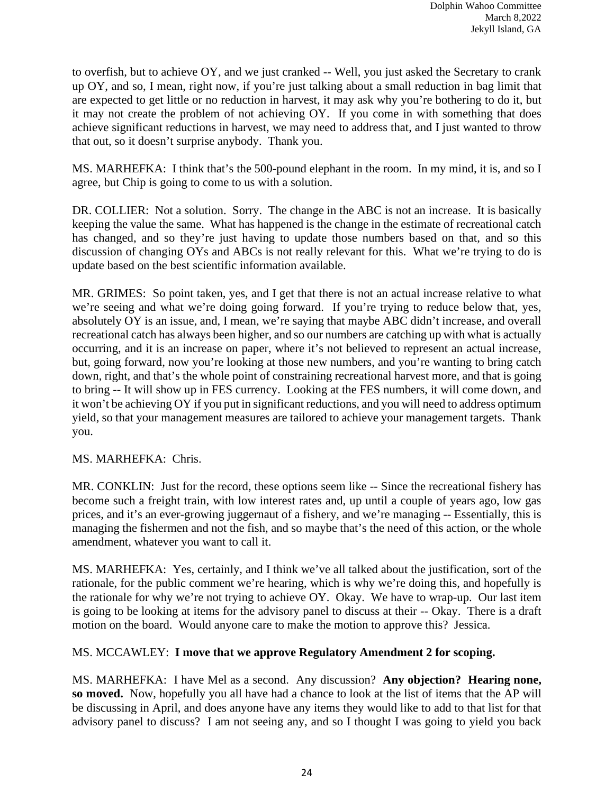to overfish, but to achieve OY, and we just cranked -- Well, you just asked the Secretary to crank up OY, and so, I mean, right now, if you're just talking about a small reduction in bag limit that are expected to get little or no reduction in harvest, it may ask why you're bothering to do it, but it may not create the problem of not achieving OY. If you come in with something that does achieve significant reductions in harvest, we may need to address that, and I just wanted to throw that out, so it doesn't surprise anybody. Thank you.

MS. MARHEFKA: I think that's the 500-pound elephant in the room. In my mind, it is, and so I agree, but Chip is going to come to us with a solution.

DR. COLLIER: Not a solution. Sorry. The change in the ABC is not an increase. It is basically keeping the value the same. What has happened is the change in the estimate of recreational catch has changed, and so they're just having to update those numbers based on that, and so this discussion of changing OYs and ABCs is not really relevant for this. What we're trying to do is update based on the best scientific information available.

MR. GRIMES: So point taken, yes, and I get that there is not an actual increase relative to what we're seeing and what we're doing going forward. If you're trying to reduce below that, yes, absolutely OY is an issue, and, I mean, we're saying that maybe ABC didn't increase, and overall recreational catch has always been higher, and so our numbers are catching up with what is actually occurring, and it is an increase on paper, where it's not believed to represent an actual increase, but, going forward, now you're looking at those new numbers, and you're wanting to bring catch down, right, and that's the whole point of constraining recreational harvest more, and that is going to bring -- It will show up in FES currency. Looking at the FES numbers, it will come down, and it won't be achieving OY if you put in significant reductions, and you will need to address optimum yield, so that your management measures are tailored to achieve your management targets. Thank you.

## MS. MARHEFKA: Chris.

MR. CONKLIN: Just for the record, these options seem like -- Since the recreational fishery has become such a freight train, with low interest rates and, up until a couple of years ago, low gas prices, and it's an ever-growing juggernaut of a fishery, and we're managing -- Essentially, this is managing the fishermen and not the fish, and so maybe that's the need of this action, or the whole amendment, whatever you want to call it.

MS. MARHEFKA: Yes, certainly, and I think we've all talked about the justification, sort of the rationale, for the public comment we're hearing, which is why we're doing this, and hopefully is the rationale for why we're not trying to achieve OY. Okay. We have to wrap-up. Our last item is going to be looking at items for the advisory panel to discuss at their -- Okay. There is a draft motion on the board. Would anyone care to make the motion to approve this? Jessica.

## MS. MCCAWLEY: **I move that we approve Regulatory Amendment 2 for scoping.**

MS. MARHEFKA: I have Mel as a second. Any discussion? **Any objection? Hearing none, so moved.** Now, hopefully you all have had a chance to look at the list of items that the AP will be discussing in April, and does anyone have any items they would like to add to that list for that advisory panel to discuss? I am not seeing any, and so I thought I was going to yield you back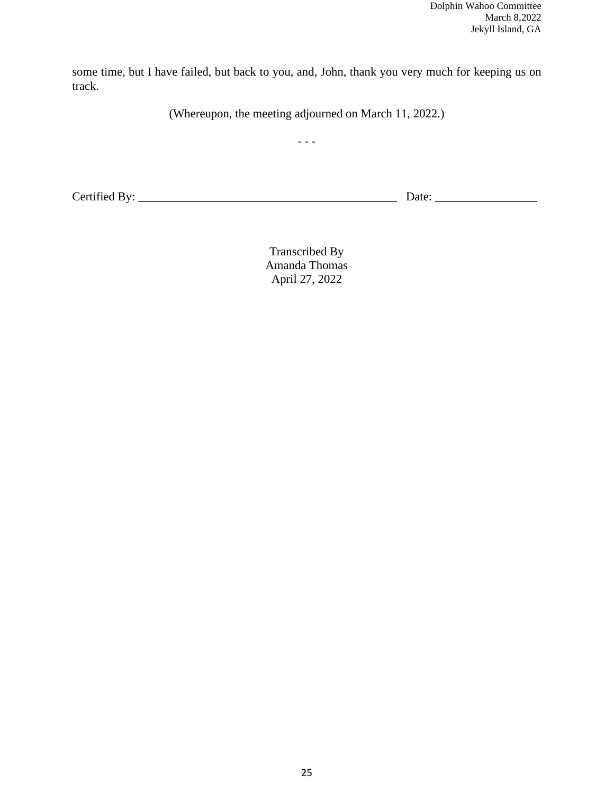some time, but I have failed, but back to you, and, John, thank you very much for keeping us on track.

(Whereupon, the meeting adjourned on March 11, 2022.)

 $- - -$ 

Certified By: \_\_\_\_\_\_\_\_\_\_\_\_\_\_\_\_\_\_\_\_\_\_\_\_\_\_\_\_\_\_\_\_\_\_\_\_\_\_\_\_\_\_\_ Date: \_\_\_\_\_\_\_\_\_\_\_\_\_\_\_\_\_

Transcribed By Amanda Thomas April 27, 2022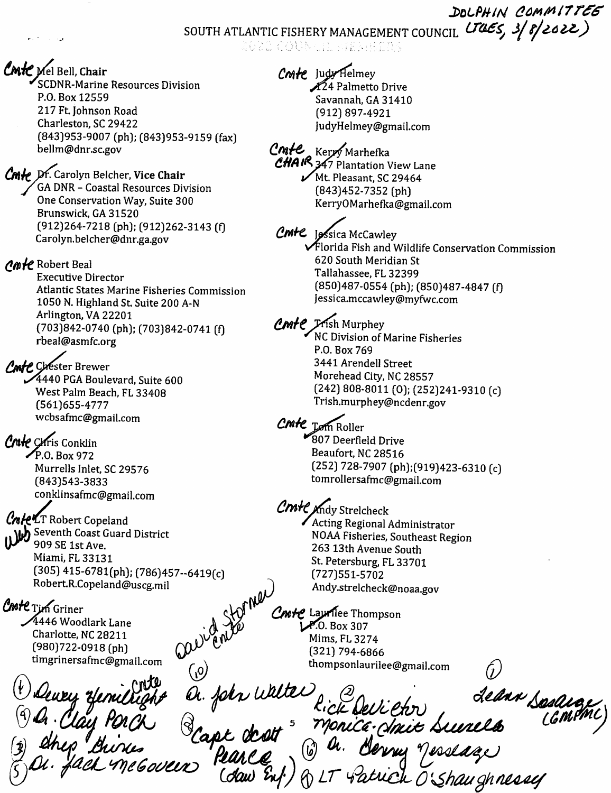DOLPHIN COMMITTEE SOUTH ATLANTIC FISHERY MANAGEMENT COUNCIL UTAES, 3/8/2022)

CMIC Mel Bell, Chair<br>SCDNR-Marine Resources Division P.O.Box 12559 217 Ft Johnson Road Charleston, SC 29422 (843)953-9007 (ph); (843)953-9159 (fax) bellm@dnr.sc.gov

Cmle Dr. Carolyn Belcher, Vice Chair GA DNR - Coastal Resources Division One Conservation Way, Suite 300 Brunswick, GA 31520 (912)264-7218 (ph); (912)262-3143 (f) Carolyn.belcher@dnr.ga.gov

*Amte* Robert Beal

Executive Director Atlantic States Marine Fisheries Commission 1050 N. Highland St. Suite 200 A-N Arlington, VA 22201 (703)842-0740 (ph); (703)842-0741 (f) rbeal@asmfc.org

Corester Brewer iX4440 PGA Boulevard, Suite 600 West Palm Beach, FL 33408 (561)655-4777 wcbsafmc@gmail.com

Crate Chris Conklin  $\sqrt{P.0. Box 972}$ Murrells Inlet, SC 29576 (843)543-3833 conklinsafmc@gmail.com

Cole LT Robert Copeland Seventh Coast Guard District 909 SE IstAve. Miami, FL 33131 (305) 415-6781(ph); (786)457-6419(c) Robert.R.Copeland@uscg.mil

Coste Tim Griner 4446 Woodlark Lane Charlotte, NC 28211 (980)722-0918 (ph) timgrinersafmc@gmail.com

 $(\pmb{\psi})_{\pmb{\mathcal{M}}}$ (3) Or Clay Porch  $\mathscr{Y}$ 

Cmte Judy Helmey X<sup>24</sup> Palmetto Drive Savannah, GA 31410 (912) 897-4921 JudyHelmey@gmail.com

Ker*y*y Marhefka  $CHA$   $R$   $347$  Plantation View Lane  $\sqrt{Mt}$ . Pleasant, SC 29464 (843)452-7352 (ph) KerryOMarhefka@gmail.com

 $C$ m+ $C$  J $\mathscr{G}$ sica McCawley  $\checkmark$  Florida Fish and Wildlife Conservation Commission 620 South Meridian St Tallahassee, FL 32399 (850)487-0554 (ph); (850)487-4847 (f) Jessica.mccawley@myfwc.com

*PMIE* Frish Murphey ^NC Division of Marine Fisheries P.O. Box 769 3441 Arendell Street Morehead City, NC 28557 (242) 808-8011 (0); (252)241-9310 (c) Trish.murphey@ncdenr.gov

> ^p0m Roller 807 Deerfield Drive Beaufort, NC 28516 (252) 728-7907 (ph);(919)423-6310 (c) tomrollersafmc@gmail.com

Cmte Andy Strelcheck /Acting Regional Administrator NOAA Fisheries, Southeast Region 263 13th Avenue South St. Petersburg, FL 33701 (727)551-5702 Andy.strelcheck@noaa.gov

Cnte Lauriee Thompson ^0. Box 307 Mims, FL3274 (321) 794-6866 thompsonlaurilee@gmail.com

on t

a. john wilte Monica Sinit Suis

 $\acute{(\iota)}$ 

ch O'Shaughnessy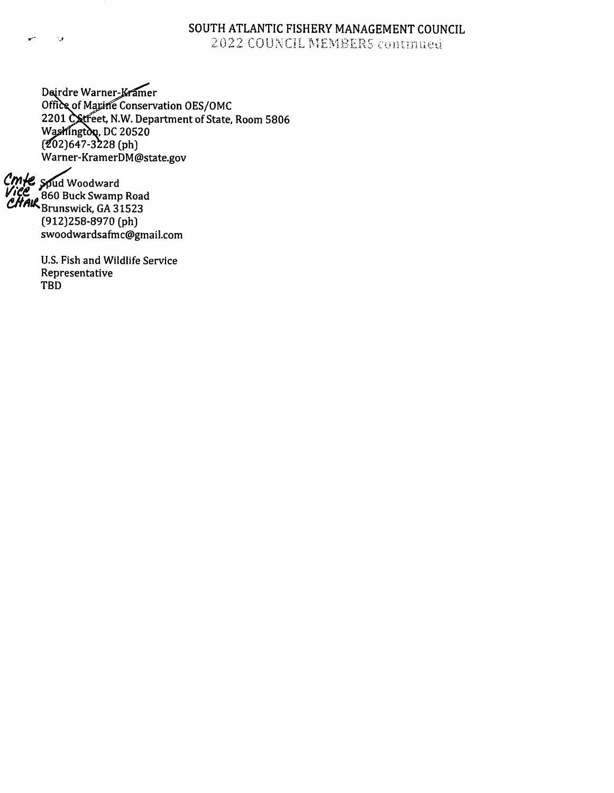## SOUTH ATLANTIC FISHERY MANAGEMENT COUNCIL COUNCIL MEMBERS

 $D$ an die Warner-Kramer Office Of Majaric Conservation OES/OMC 2201 Catreet, N.W. Department of State, Room 5806  $W_9$  $(202)047-3228$  [ph] Warner-KramerDM@state.gov

 $\gamma$ puu woodward 860 Buck Swamp Road  $G<sub>R</sub>$ Brunswick, GA 31523 (9123258-8970 (phj swoodwardsafmc@gmaiI.com

ر .

U.S. Fish and Wildlife Service Representative TBD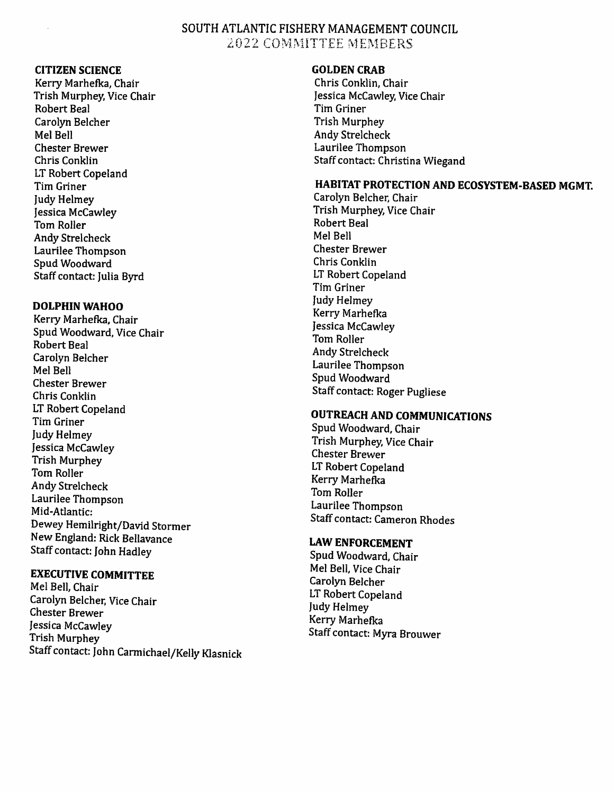## SOUTH ATLANTIC FISHERY MANAGEMENT COUNCIL 2022 COMMITTEE MEMBERS

### CITIZEN SCIENCE

Kerry Marhefka, Chair Trish Murphey, Vice Chair Robert Beal Carolyn Belcher Mel Bell Chester Brewer Chris Conklin LT Robert Copeland Tim Griner Judy Helmey Jessica McCawley Tom Roller Andy Strelcheck Laurilee Thompson Spud Woodward Staff contact: Julia Byrd

#### DOLPHIN WAHOO

Keny Marhefka, Chair Spud Woodward, Vice Chair Robert Beal Carolyn Belcher Mel Bell Chester Brewer Chris Conklin LT Robert Copeland Tim Griner Judy Helmey Jessica McCawley Trish Murphey Tom Roller Andy Strelcheck Laurilee Thompson Mid-Atlantic: Dewey Hemilright/David Stormer New England: Rick Beilavance Staff contact: John Hadley

## EXECUTIVE COMMITTEE

Mel Bell, Chair Carolyn Belcher. Vice Chair Chester Brewer Jessica McCawley Trish Murphey Staff contact: John Carmichael/Kelly Kiasnick

#### GOLDEN CRAB

Chris Conklin, Chair Jessica McCawley, Vice Chair Tim Griner Trish Murphey Andy Strelcheck Laurilee Thompson Staff contact: Christina Wiegand

## HABITAT PROTECTION AND ECOSYSTEM-BASED MGMT.

Carolyn Belcher, Chair Trish Murphey, Vice Chair Robert Beal Mel Bell Chester Brewer Chris Conklin LT Robert Copeland Tim Griner Judy Helmey Kerry Marhefka Jessica McCawley Tom Roller Andy Strelcheck Laurilee Thompson Spud Woodward Staff contact: Roger Pugliese

## OUTREACH AND COMMUNICATIONS

Spud Woodward, Chair Trish Murphey, Vice Chair Chester Brewer LT Robert Copeland Kerry Marhefka Tom Roller Laurilee Thompson Staff contact: Cameron Rhodes

## LAW ENFORCEMENT

Spud Woodward, Chair Mel Bell, Vice Chair Carolyn Belcher LT Robert Copeland Judy Helmey Kerry Marhefka Staff contact: Myra Brouwer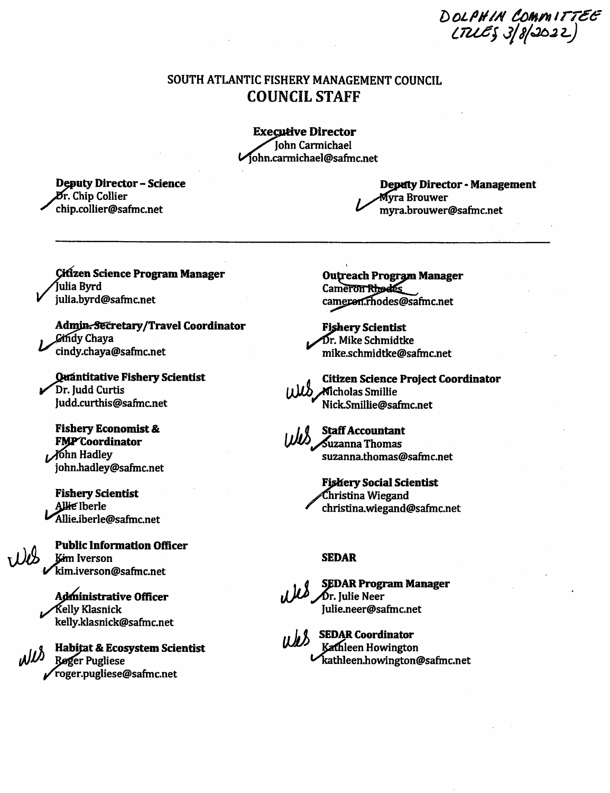DOLPHIN COMMITTEE  $\epsilon$  is a  $\epsilon$ 

## SOUTH ATLANTIC FISHERY MANAGEMENT COUNCIL COUNCIL STAFF

**Executive Director** John Carmichael ohn.carmichael@safmc.net

Deputy Director - Science **Dr.** Chip Collier ^ chip.collier@safmc.net

Deptfty Director - Management Myra Brouwer ^ myra.brouwer@safmc.net

**Citizen Science Program Manager** Julia Byrd julia.byrd@safmc.net

Admin. Secretary/Travel Coordinator Gindy Chava cindy.chaya@safmc.net

Quántitative Fishery Scientist Dr. Judd Curtis Judd.curthis@safmc.net

Fishery Economist & FMP<sup>C</sup>oordinator  $j$ ohn Hadley john.hadley@safmc.net

Fishery Scientist Allie Iberle ^^llie.iberle@saftnc.net

Public Information Officer LILLE FUDIC HIDTHIALION OF

> Administrative Officer ■Kelly Klasnick kelly.klasnick@safmc.net

Habitat & Ecosystem Scientist ימוט Røger Pugliese roger.pugliese@safmc.net

**Outreach Program Manager** Cameron Rhodes cameron.rhodes@safmc.net

**Fishery Scientist** Dr. Mike Schmidtke mike.schmidtke@safrnc.net

**Citizen Science Project Coordinator** Micholas Smillie ^ Nick.Smillie@safmc.net



suzanna.thomas@safmc.net

Fishery Social Scientist Christina Wiegand christina.wiegand@safmc.net

#### SEDAR

SEDAR Program Manager  $\overline{M}$   $\overline{M}$ r. Julie Neer Julie.neer@safmc.net

ULLS SEDAR Coordinator  $\blacktriangleright$  kathleen.howington@safmc.net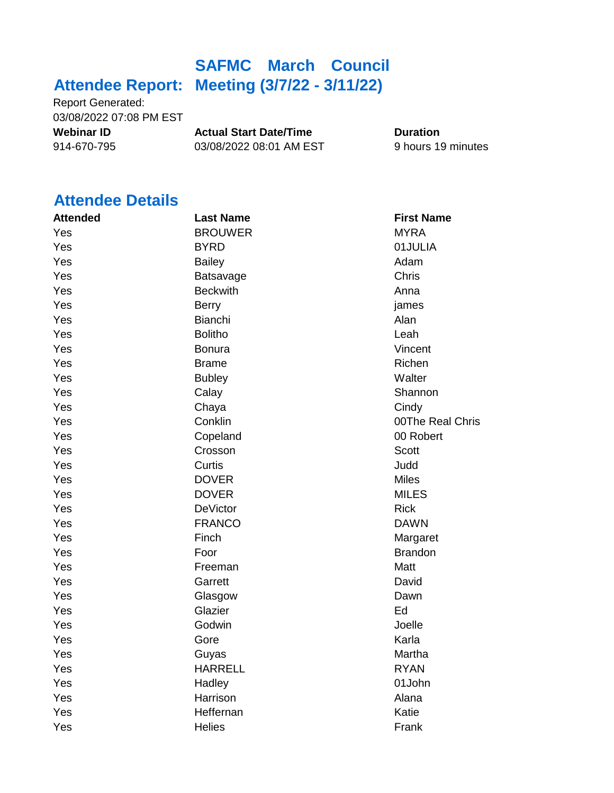# **Attendee Report: Meeting (3/7/22 - 3/11/22) SAFMC March Council**

Report Generated: 03/08/2022 07:08 PM EST

**Webinar ID Actual Start Date/Time Duration** 914-670-795 03/08/2022 08:01 AM EST 9 hours 19 minutes

## **Attendee Details**

| <b>Attended</b> | <b>Last Name</b> | <b>First Name</b> |
|-----------------|------------------|-------------------|
| Yes             | <b>BROUWER</b>   | <b>MYRA</b>       |
| Yes             | <b>BYRD</b>      | 01JULIA           |
| Yes             | <b>Bailey</b>    | Adam              |
| Yes             | Batsavage        | Chris             |
| Yes             | <b>Beckwith</b>  | Anna              |
| Yes             | <b>Berry</b>     | james             |
| Yes             | Bianchi          | Alan              |
| Yes             | <b>Bolitho</b>   | Leah              |
| Yes             | <b>Bonura</b>    | Vincent           |
| Yes             | <b>Brame</b>     | Richen            |
| Yes             | <b>Bubley</b>    | Walter            |
| Yes             | Calay            | Shannon           |
| Yes             | Chaya            | Cindy             |
| Yes             | Conklin          | 00The Real Chris  |
| Yes             | Copeland         | 00 Robert         |
| Yes             | Crosson          | <b>Scott</b>      |
| Yes             | Curtis           | Judd              |
| Yes             | <b>DOVER</b>     | <b>Miles</b>      |
| Yes             | <b>DOVER</b>     | <b>MILES</b>      |
| Yes             | <b>DeVictor</b>  | <b>Rick</b>       |
| Yes             | <b>FRANCO</b>    | <b>DAWN</b>       |
| Yes             | Finch            | Margaret          |
| Yes             | Foor             | <b>Brandon</b>    |
| Yes             | Freeman          | Matt              |
| Yes             | Garrett          | David             |
| Yes             | Glasgow          | Dawn              |
| Yes             | Glazier          | Ed                |
| Yes             | Godwin           | Joelle            |
| Yes             | Gore             | Karla             |
| Yes             | Guyas            | Martha            |
| Yes             | <b>HARRELL</b>   | <b>RYAN</b>       |
| Yes             | Hadley           | 01John            |
| Yes             | Harrison         | Alana             |
| Yes             | Heffernan        | Katie             |
| Yes             | <b>Helies</b>    | Frank             |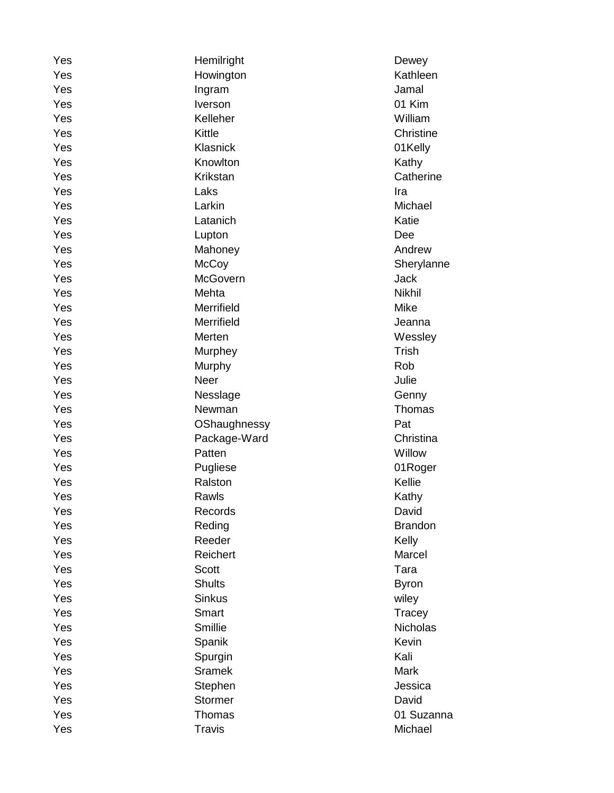| Yes | Hemilright      | Dewey          |
|-----|-----------------|----------------|
| Yes | Howington       | Kathleen       |
| Yes | Ingram          | Jamal          |
| Yes | Iverson         | 01 Kim         |
| Yes | Kelleher        | William        |
| Yes | Kittle          | Christine      |
| Yes | Klasnick        | 01Kelly        |
| Yes | Knowlton        | Kathy          |
| Yes | Krikstan        | Catherine      |
| Yes | Laks            | Ira            |
| Yes | Larkin          | Michael        |
| Yes | Latanich        | Katie          |
| Yes | Lupton          | Dee            |
| Yes | Mahoney         | Andrew         |
| Yes | <b>McCoy</b>    | Sherylanne     |
| Yes | <b>McGovern</b> | <b>Jack</b>    |
| Yes | Mehta           | <b>Nikhil</b>  |
| Yes | Merrifield      | Mike           |
| Yes | Merrifield      | Jeanna         |
| Yes | Merten          | Wessley        |
| Yes | Murphey         | <b>Trish</b>   |
| Yes | Murphy          | Rob            |
| Yes | <b>Neer</b>     | Julie          |
| Yes | Nesslage        | Genny          |
| Yes | Newman          | Thomas         |
| Yes | OShaughnessy    | Pat            |
| Yes | Package-Ward    | Christina      |
| Yes | Patten          | Willow         |
| Yes | Pugliese        | 01Roger        |
| Yes | Ralston         | Kellie         |
| Yes | Rawls           | Kathy          |
| Yes | Records         | David          |
| Yes | Reding          | <b>Brandon</b> |
| Yes | Reeder          | Kelly          |
| Yes | Reichert        | Marcel         |
| Yes | <b>Scott</b>    | Tara           |
| Yes | <b>Shults</b>   | <b>Byron</b>   |
| Yes | <b>Sinkus</b>   | wiley          |
| Yes | Smart           | Tracey         |
| Yes | Smillie         | Nicholas       |
| Yes | Spanik          | Kevin          |
| Yes | Spurgin         | Kali           |
| Yes | <b>Sramek</b>   | Mark           |
| Yes | Stephen         | Jessica        |
| Yes | <b>Stormer</b>  | David          |
| Yes | <b>Thomas</b>   | 01 Suzanna     |
| Yes | <b>Travis</b>   | Michael        |